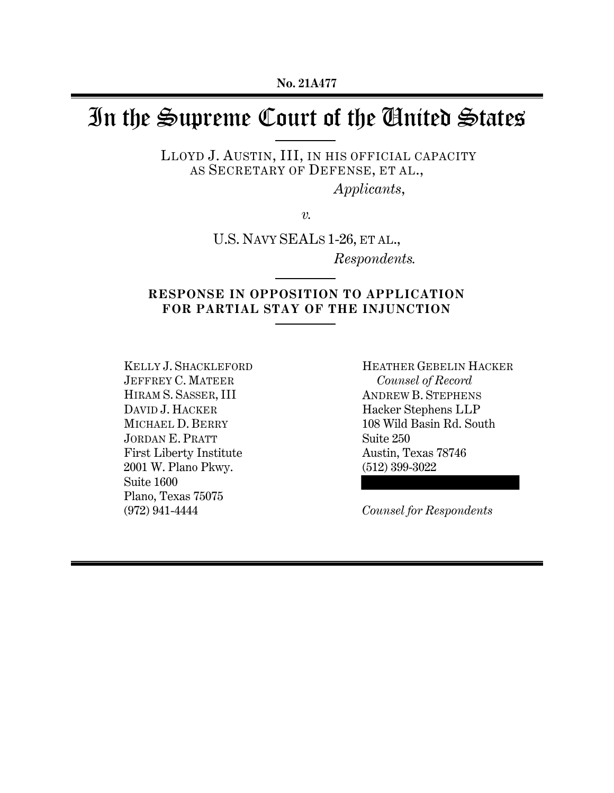# In the Supreme Court of the United States

LLOYD J. AUSTIN, III, IN HIS OFFICIAL CAPACITY AS SECRETARY OF DEFENSE, ET AL.,

*Applicants*,

*v.*

U.S. NAVY SEALS 1-26, ET AL., *Respondents.* 

# **RESPONSE IN OPPOSITION TO APPLICATION FOR PARTIAL STAY OF THE INJUNCTION**  $\overline{a}$

KELLY J. SHACKLEFORD JEFFREY C. MATEER HIRAM S. SASSER, III DAVID J. HACKER MICHAEL D. BERRY JORDAN E. PRATT First Liberty Institute 2001 W. Plano Pkwy. Suite 1600 Plano, Texas 75075 (972) 941-4444

HEATHER GEBELIN HACKER *Counsel of Record* ANDREW B. STEPHENS Hacker Stephens LLP 108 Wild Basin Rd. South Suite 250 Austin, Texas 78746 (512) 399-3022

*Counsel for Respondents*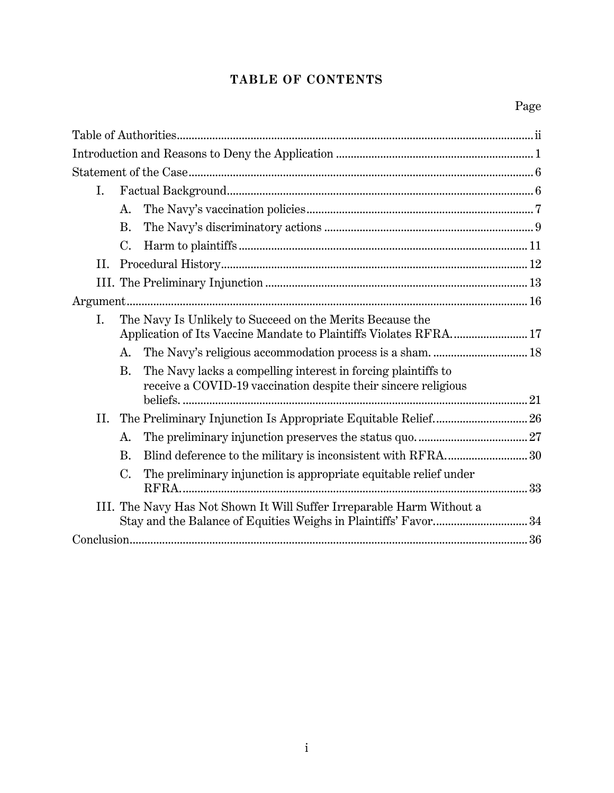# **TABLE OF CONTENTS**

| I.  |               |                                                                                                                                 |  |  |
|-----|---------------|---------------------------------------------------------------------------------------------------------------------------------|--|--|
|     | A.            |                                                                                                                                 |  |  |
|     | <b>B.</b>     |                                                                                                                                 |  |  |
|     | $C_{\bullet}$ |                                                                                                                                 |  |  |
| II. |               |                                                                                                                                 |  |  |
|     |               |                                                                                                                                 |  |  |
|     |               |                                                                                                                                 |  |  |
| I.  |               | The Navy Is Unlikely to Succeed on the Merits Because the<br>Application of Its Vaccine Mandate to Plaintiffs Violates RFRA 17  |  |  |
|     | A.            |                                                                                                                                 |  |  |
|     | <b>B.</b>     | The Navy lacks a compelling interest in forcing plaintiffs to<br>receive a COVID-19 vaccination despite their sincere religious |  |  |
|     |               |                                                                                                                                 |  |  |
|     | A.            |                                                                                                                                 |  |  |
|     | <b>B.</b>     |                                                                                                                                 |  |  |
|     | $C_{\cdot}$   | The preliminary injunction is appropriate equitable relief under                                                                |  |  |
|     |               | III. The Navy Has Not Shown It Will Suffer Irreparable Harm Without a                                                           |  |  |
|     |               |                                                                                                                                 |  |  |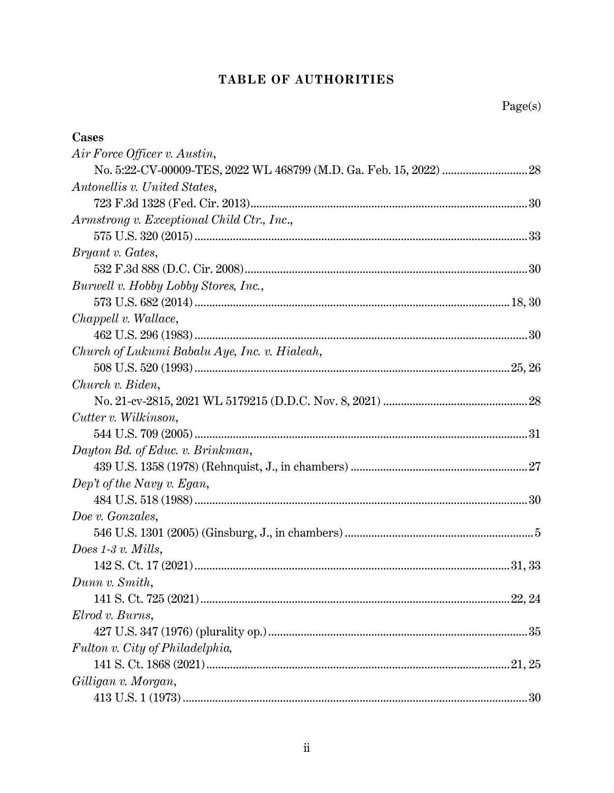# TABLE OF AUTHORITIES

| Cases                                         |
|-----------------------------------------------|
| Air Force Officer v. Austin,                  |
|                                               |
| Antonellis v. United States,                  |
|                                               |
| Armstrong v. Exceptional Child Ctr., Inc.,    |
|                                               |
| <i>Bryant v. Gates,</i>                       |
|                                               |
| Burwell v. Hobby Lobby Stores, Inc.,          |
|                                               |
| Chappell v. Wallace,                          |
|                                               |
| Church of Lukumi Babalu Aye, Inc. v. Hialeah, |
|                                               |
| Church v. Biden,                              |
|                                               |
| Cutter v. Wilkinson,                          |
|                                               |
| Dayton Bd. of Educ. v. Brinkman,              |
|                                               |
| Dep't of the Navy v. Egan,                    |
|                                               |
| Doe v. Gonzales,                              |
|                                               |
| Does $1-3$ v. Mills,                          |
|                                               |
| Dunn v. Smith,                                |
|                                               |
| Elrod v. Burns,                               |
|                                               |
| Fulton v. City of Philadelphia,               |
|                                               |
| Gilligan v. Morgan,                           |
|                                               |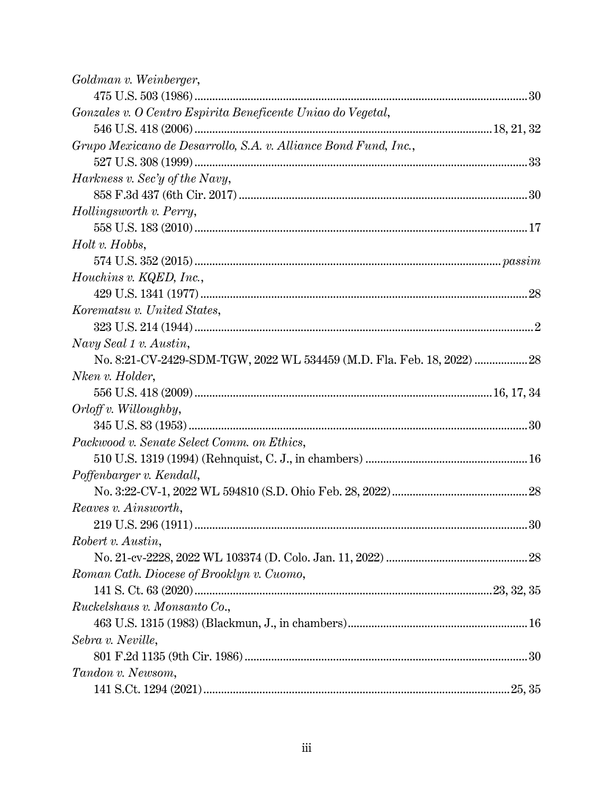| Goldman v. Weinberger,                                          |
|-----------------------------------------------------------------|
|                                                                 |
| Gonzales v. O Centro Espirita Beneficente Uniao do Vegetal,     |
|                                                                 |
| Grupo Mexicano de Desarrollo, S.A. v. Alliance Bond Fund, Inc., |
|                                                                 |
| Harkness v. Sec'y of the Navy,                                  |
|                                                                 |
| Hollingsworth v. Perry,                                         |
|                                                                 |
| Holt v. Hobbs,                                                  |
|                                                                 |
| Houchins v. KQED, Inc.,                                         |
|                                                                 |
| Korematsu v. United States,                                     |
|                                                                 |
| Navy Seal 1 v. Austin,                                          |
|                                                                 |
| Nken v. Holder,                                                 |
|                                                                 |
| $Orloff v.$ Willoughby,                                         |
|                                                                 |
| Packwood v. Senate Select Comm. on Ethics,                      |
|                                                                 |
| Poffenbarger v. Kendall,                                        |
|                                                                 |
| Reaves v. Ainsworth,                                            |
|                                                                 |
| Robert v. Austin,                                               |
|                                                                 |
| Roman Cath. Diocese of Brooklyn v. Cuomo,                       |
|                                                                 |
| Ruckelshaus v. Monsanto Co.,                                    |
|                                                                 |
| Sebra v. Neville,                                               |
|                                                                 |
| Tandon v. Newsom,                                               |
|                                                                 |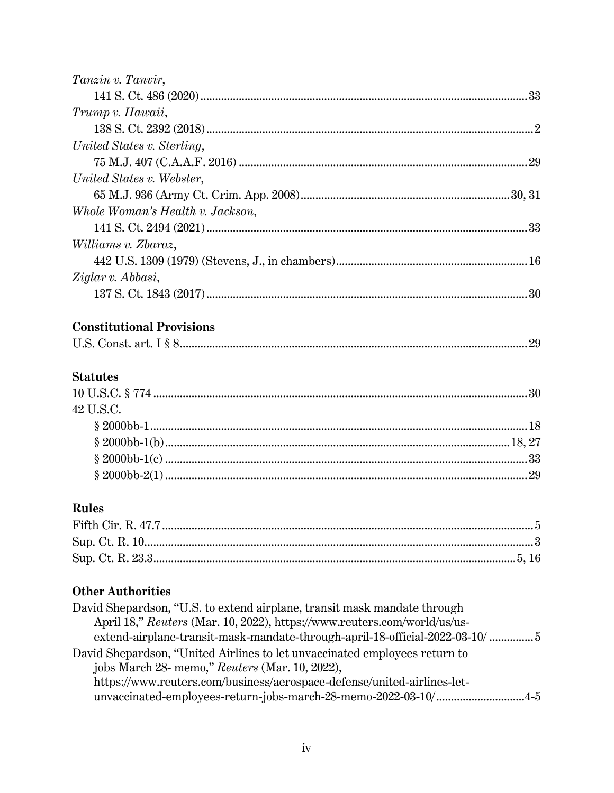| Tanzin v. Tanvir,                |  |
|----------------------------------|--|
|                                  |  |
| Trump v. Hawaii,                 |  |
|                                  |  |
| United States v. Sterling,       |  |
|                                  |  |
| United States v. Webster,        |  |
|                                  |  |
| Whole Woman's Health v. Jackson, |  |
|                                  |  |
| Williams v. Zbaraz,              |  |
|                                  |  |
| Ziglar v. Abbasi,                |  |
|                                  |  |
| <b>Constitutional Provisions</b> |  |
|                                  |  |
| <b>Statutes</b>                  |  |
|                                  |  |
| 42 U.S.C.                        |  |
|                                  |  |
|                                  |  |
|                                  |  |
|                                  |  |
| <b>Rules</b>                     |  |
|                                  |  |
|                                  |  |
|                                  |  |
| <b>Other Authorities</b>         |  |

| David Shepardson, "U.S. to extend airplane, transit mask mandate through    |  |
|-----------------------------------------------------------------------------|--|
| April 18," Reuters (Mar. 10, 2022), https://www.reuters.com/world/us/us-    |  |
| extend-airplane-transit-mask-mandate-through-april-18-official-2022-03-10/5 |  |
| David Shepardson, "United Airlines to let unvaccinated employees return to  |  |
| jobs March 28- memo," Reuters (Mar. 10, 2022),                              |  |
| https://www.reuters.com/business/aerospace-defense/united-airlines-let-     |  |
| unvaccinated-employees-return-jobs-march-28-memo-2022-03-10/4-5             |  |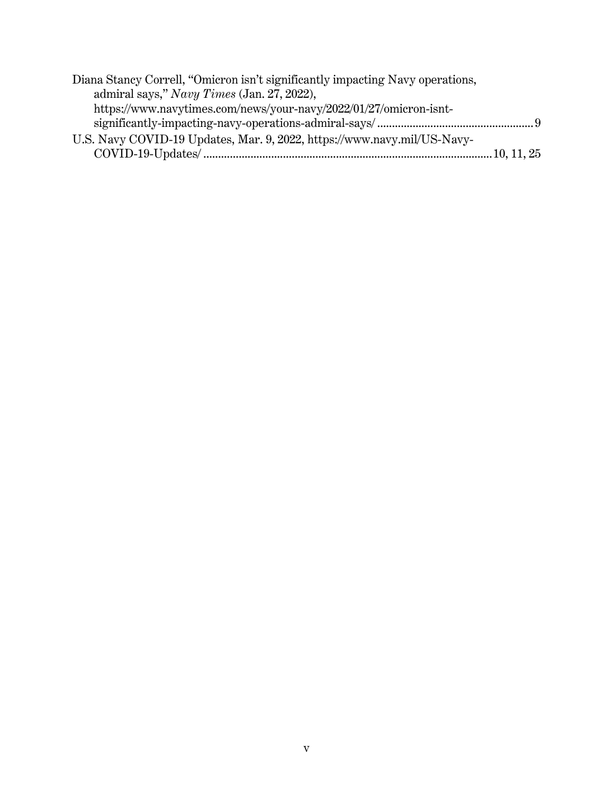| Diana Stancy Correll, "Omicron isn't significantly impacting Navy operations, |  |
|-------------------------------------------------------------------------------|--|
| admiral says," Navy Times (Jan. 27, 2022),                                    |  |
| https://www.navytimes.com/news/your-navy/2022/01/27/omicron-isnt-             |  |
|                                                                               |  |
| U.S. Navy COVID-19 Updates, Mar. 9, 2022, https://www.navy.mil/US-Navy-       |  |
|                                                                               |  |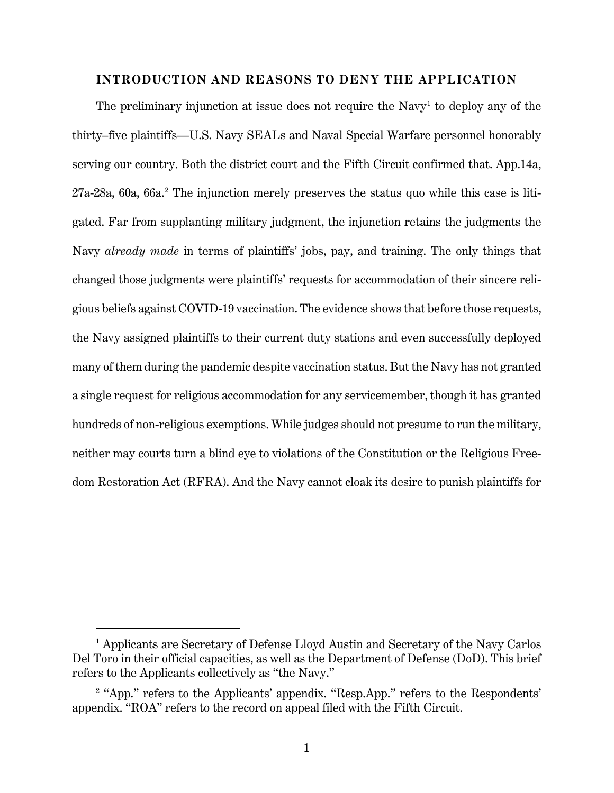# **INTRODUCTION AND REASONS TO DENY THE APPLICATION**

The preliminary injunction at issue does not require the Navy<sup>[1](#page-6-0)</sup> to deploy any of the thirty–five plaintiffs—U.S. Navy SEALs and Naval Special Warfare personnel honorably serving our country. Both the district court and the Fifth Circuit confirmed that. App.14a, 27a-28a, 60a, 66a. [2](#page-6-1) The injunction merely preserves the status quo while this case is litigated. Far from supplanting military judgment, the injunction retains the judgments the Navy *already made* in terms of plaintiffs' jobs, pay, and training. The only things that changed those judgments were plaintiffs' requests for accommodation of their sincere religious beliefs against COVID-19 vaccination. The evidence shows that before those requests, the Navy assigned plaintiffs to their current duty stations and even successfully deployed many of them during the pandemic despite vaccination status. But the Navy has not granted a single request for religious accommodation for any servicemember, though it has granted hundreds of non-religious exemptions. While judges should not presume to run the military, neither may courts turn a blind eye to violations of the Constitution or the Religious Freedom Restoration Act (RFRA). And the Navy cannot cloak its desire to punish plaintiffs for

<span id="page-6-0"></span><sup>&</sup>lt;sup>1</sup> Applicants are Secretary of Defense Lloyd Austin and Secretary of the Navy Carlos Del Toro in their official capacities, as well as the Department of Defense (DoD). This brief refers to the Applicants collectively as "the Navy."

<span id="page-6-1"></span><sup>&</sup>lt;sup>2</sup> "App." refers to the Applicants' appendix. "Resp.App." refers to the Respondents' appendix. "ROA" refers to the record on appeal filed with the Fifth Circuit.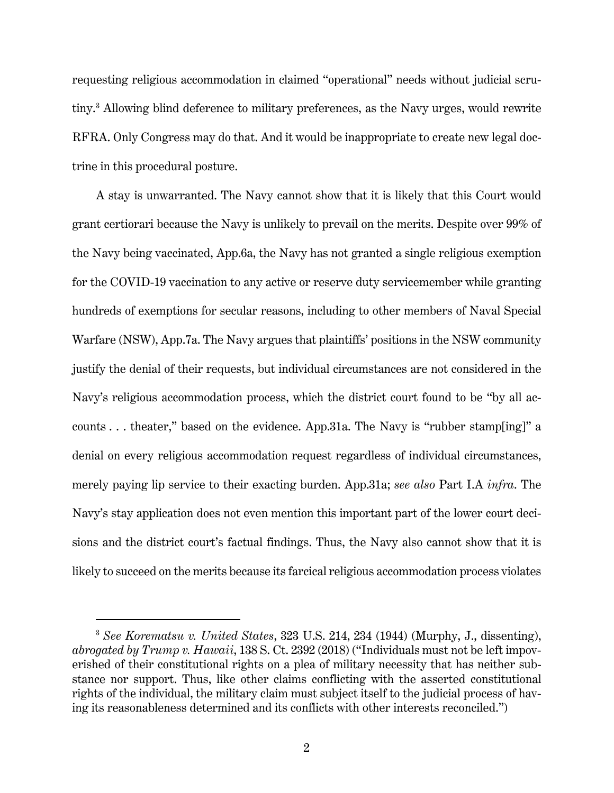requesting religious accommodation in claimed "operational" needs without judicial scrutiny. [3](#page-7-0) Allowing blind deference to military preferences, as the Navy urges, would rewrite RFRA. Only Congress may do that. And it would be inappropriate to create new legal doctrine in this procedural posture.

A stay is unwarranted. The Navy cannot show that it is likely that this Court would grant certiorari because the Navy is unlikely to prevail on the merits. Despite over 99% of the Navy being vaccinated, App.6a, the Navy has not granted a single religious exemption for the COVID-19 vaccination to any active or reserve duty servicemember while granting hundreds of exemptions for secular reasons, including to other members of Naval Special Warfare (NSW), App.7a. The Navy argues that plaintiffs' positions in the NSW community justify the denial of their requests, but individual circumstances are not considered in the Navy's religious accommodation process, which the district court found to be "by all accounts . . . theater," based on the evidence. App.31a. The Navy is "rubber stamp[ing]" a denial on every religious accommodation request regardless of individual circumstances, merely paying lip service to their exacting burden. App.31a; *see also* Part I.A *infra*. The Navy's stay application does not even mention this important part of the lower court decisions and the district court's factual findings. Thus, the Navy also cannot show that it is likely to succeed on the merits because its farcical religious accommodation process violates

<span id="page-7-0"></span><sup>3</sup> *See Korematsu v. United States*, 323 U.S. 214, 234 (1944) (Murphy, J., dissenting), *abrogated by Trump v. Hawaii*, 138 S. Ct. 2392 (2018) ("Individuals must not be left impoverished of their constitutional rights on a plea of military necessity that has neither substance nor support. Thus, like other claims conflicting with the asserted constitutional rights of the individual, the military claim must subject itself to the judicial process of having its reasonableness determined and its conflicts with other interests reconciled.")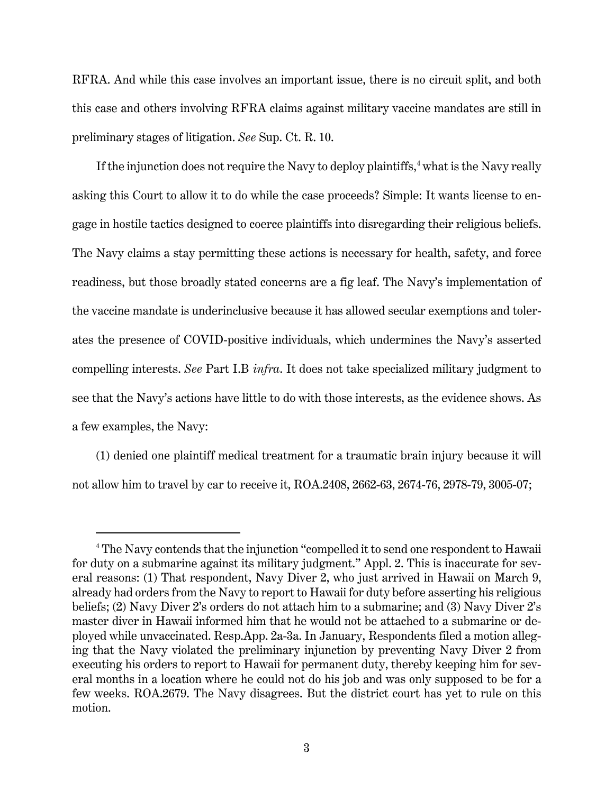RFRA. And while this case involves an important issue, there is no circuit split, and both this case and others involving RFRA claims against military vaccine mandates are still in preliminary stages of litigation. *See* Sup. Ct. R. 10.

If the injunction does not require the Navy to deploy plaintiffs,  $4$  what is the Navy really asking this Court to allow it to do while the case proceeds? Simple: It wants license to engage in hostile tactics designed to coerce plaintiffs into disregarding their religious beliefs. The Navy claims a stay permitting these actions is necessary for health, safety, and force readiness, but those broadly stated concerns are a fig leaf. The Navy's implementation of the vaccine mandate is underinclusive because it has allowed secular exemptions and tolerates the presence of COVID-positive individuals, which undermines the Navy's asserted compelling interests. *See* Part I.B *infra*. It does not take specialized military judgment to see that the Navy's actions have little to do with those interests, as the evidence shows. As a few examples, the Navy:

(1) denied one plaintiff medical treatment for a traumatic brain injury because it will not allow him to travel by car to receive it, ROA.2408, 2662-63, 2674-76, 2978-79, 3005-07;

<span id="page-8-0"></span><sup>&</sup>lt;sup>4</sup> The Navy contends that the injunction "compelled it to send one respondent to Hawaii for duty on a submarine against its military judgment." Appl. 2. This is inaccurate for several reasons: (1) That respondent, Navy Diver 2, who just arrived in Hawaii on March 9, already had orders from the Navy to report to Hawaii for duty before asserting his religious beliefs; (2) Navy Diver 2's orders do not attach him to a submarine; and (3) Navy Diver 2's master diver in Hawaii informed him that he would not be attached to a submarine or deployed while unvaccinated. Resp.App. 2a-3a. In January, Respondents filed a motion alleging that the Navy violated the preliminary injunction by preventing Navy Diver 2 from executing his orders to report to Hawaii for permanent duty, thereby keeping him for several months in a location where he could not do his job and was only supposed to be for a few weeks. ROA.2679. The Navy disagrees. But the district court has yet to rule on this motion.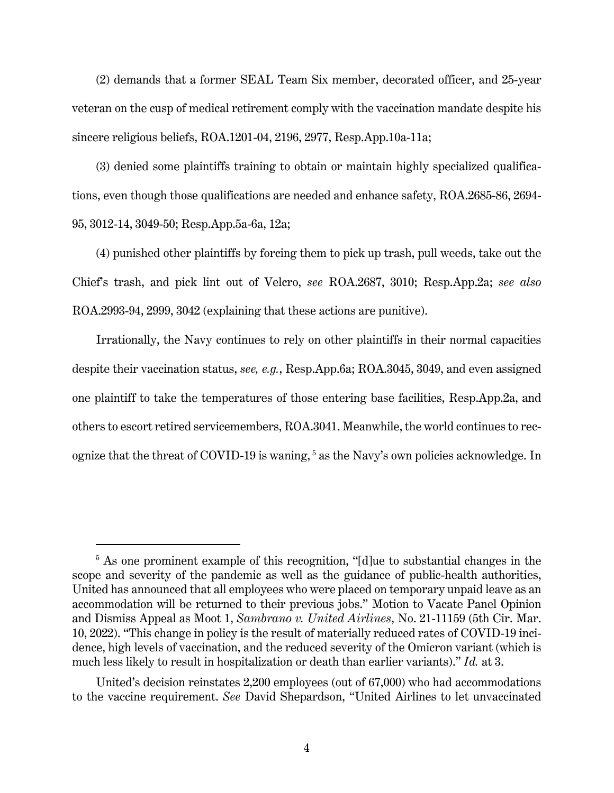(2) demands that a former SEAL Team Six member, decorated officer, and 25-year veteran on the cusp of medical retirement comply with the vaccination mandate despite his sincere religious beliefs, ROA.1201-04, 2196, 2977, Resp.App.10a-11a;

(3) denied some plaintiffs training to obtain or maintain highly specialized qualifications, even though those qualifications are needed and enhance safety, ROA.2685-86, 2694- 95, 3012-14, 3049-50; Resp.App.5a-6a, 12a;

(4) punished other plaintiffs by forcing them to pick up trash, pull weeds, take out the Chief's trash, and pick lint out of Velcro, *see* ROA.2687, 3010; Resp.App.2a; *see also*  ROA.2993-94, 2999, 3042 (explaining that these actions are punitive).

Irrationally, the Navy continues to rely on other plaintiffs in their normal capacities despite their vaccination status, *see, e.g.*, Resp.App.6a; ROA.3045, 3049, and even assigned one plaintiff to take the temperatures of those entering base facilities, Resp.App.2a, and others to escort retired servicemembers, ROA.3041. Meanwhile, the world continues to rec-ognize that the threat of COVID-19 is waning,<sup>[5](#page-9-0)</sup> as the Navy's own policies acknowledge. In

<span id="page-9-0"></span><sup>&</sup>lt;sup>5</sup> As one prominent example of this recognition, "[d]ue to substantial changes in the scope and severity of the pandemic as well as the guidance of public-health authorities, United has announced that all employees who were placed on temporary unpaid leave as an accommodation will be returned to their previous jobs." Motion to Vacate Panel Opinion and Dismiss Appeal as Moot 1, *Sambrano v. United Airlines*, No. 21-11159 (5th Cir. Mar. 10, 2022). "This change in policy is the result of materially reduced rates of COVID-19 incidence, high levels of vaccination, and the reduced severity of the Omicron variant (which is much less likely to result in hospitalization or death than earlier variants)." *Id.* at 3.

United's decision reinstates 2,200 employees (out of 67,000) who had accommodations to the vaccine requirement. *See* David Shepardson, "United Airlines to let unvaccinated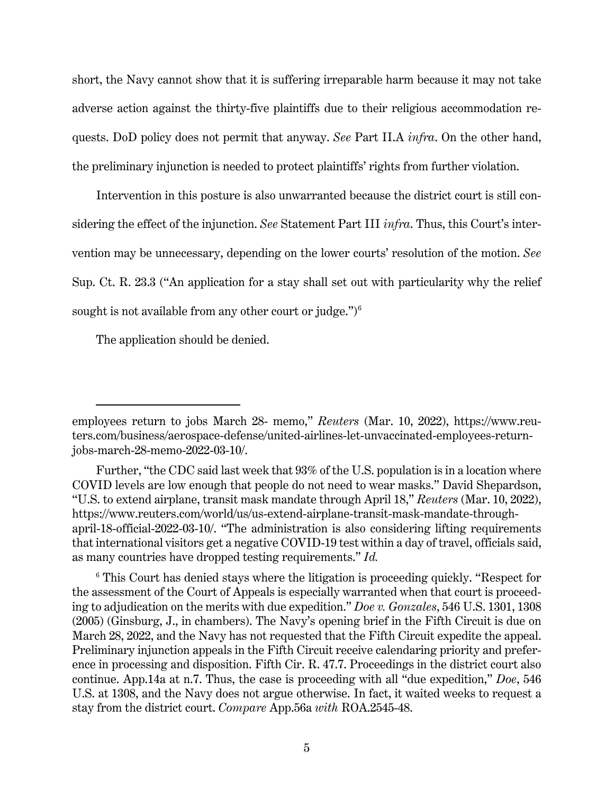short, the Navy cannot show that it is suffering irreparable harm because it may not take adverse action against the thirty-five plaintiffs due to their religious accommodation requests. DoD policy does not permit that anyway. *See* Part II.A *infra*. On the other hand, the preliminary injunction is needed to protect plaintiffs' rights from further violation.

Intervention in this posture is also unwarranted because the district court is still considering the effect of the injunction. *See* Statement Part III *infra*. Thus, this Court's intervention may be unnecessary, depending on the lower courts' resolution of the motion. *See*  Sup. Ct. R. 23.3 ("An application for a stay shall set out with particularity why the relief sought is not available from any other court or judge.") $6$ 

The application should be denied.

employees return to jobs March 28- memo," *Reuters* (Mar. 10, 2022), https://www.reuters.com/business/aerospace-defense/united-airlines-let-unvaccinated-employees-returnjobs-march-28-memo-2022-03-10/.

Further, "the CDC said last week that 93% of the U.S. population is in a location where COVID levels are low enough that people do not need to wear masks." David Shepardson, "U.S. to extend airplane, transit mask mandate through April 18," *Reuters* (Mar. 10, 2022), https://www.reuters.com/world/us/us-extend-airplane-transit-mask-mandate-throughapril-18-official-2022-03-10/. "The administration is also considering lifting requirements that international visitors get a negative COVID-19 test within a day of travel, officials said, as many countries have dropped testing requirements." *Id.*

<span id="page-10-0"></span><sup>&</sup>lt;sup>6</sup> This Court has denied stays where the litigation is proceeding quickly. "Respect for the assessment of the Court of Appeals is especially warranted when that court is proceeding to adjudication on the merits with due expedition." *Doe v. Gonzales*, 546 U.S. 1301, 1308 (2005) (Ginsburg, J., in chambers). The Navy's opening brief in the Fifth Circuit is due on March 28, 2022, and the Navy has not requested that the Fifth Circuit expedite the appeal. Preliminary injunction appeals in the Fifth Circuit receive calendaring priority and preference in processing and disposition. Fifth Cir. R. 47.7. Proceedings in the district court also continue. App.14a at n.7. Thus, the case is proceeding with all "due expedition," *Doe*, 546 U.S. at 1308, and the Navy does not argue otherwise. In fact, it waited weeks to request a stay from the district court. *Compare* App.56a *with* ROA.2545-48.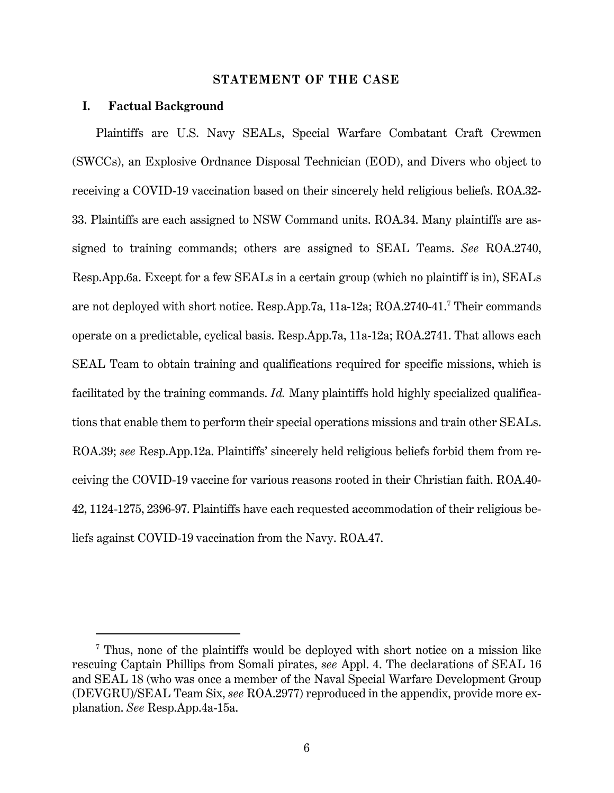#### **STATEMENT OF THE CASE**

#### **I. Factual Background**

Plaintiffs are U.S. Navy SEALs, Special Warfare Combatant Craft Crewmen (SWCCs), an Explosive Ordnance Disposal Technician (EOD), and Divers who object to receiving a COVID-19 vaccination based on their sincerely held religious beliefs. ROA.32- 33. Plaintiffs are each assigned to NSW Command units. ROA.34. Many plaintiffs are assigned to training commands; others are assigned to SEAL Teams. *See* ROA.2740, Resp.App.6a. Except for a few SEALs in a certain group (which no plaintiff is in), SEALs are not deployed with short notice. Resp.App.7a, 11a-12a; ROA.2740-41. [7](#page-11-0) Their commands operate on a predictable, cyclical basis. Resp.App.7a, 11a-12a; ROA.2741. That allows each SEAL Team to obtain training and qualifications required for specific missions, which is facilitated by the training commands. *Id.* Many plaintiffs hold highly specialized qualifications that enable them to perform their special operations missions and train other SEALs. ROA.39; *see* Resp.App.12a. Plaintiffs' sincerely held religious beliefs forbid them from receiving the COVID-19 vaccine for various reasons rooted in their Christian faith. ROA.40- 42, 1124-1275, 2396-97. Plaintiffs have each requested accommodation of their religious beliefs against COVID-19 vaccination from the Navy. ROA.47.

<span id="page-11-0"></span><sup>7</sup> Thus, none of the plaintiffs would be deployed with short notice on a mission like rescuing Captain Phillips from Somali pirates, *see* Appl. 4. The declarations of SEAL 16 and SEAL 18 (who was once a member of the Naval Special Warfare Development Group (DEVGRU)/SEAL Team Six, *see* ROA.2977) reproduced in the appendix, provide more explanation. *See* Resp.App.4a-15a.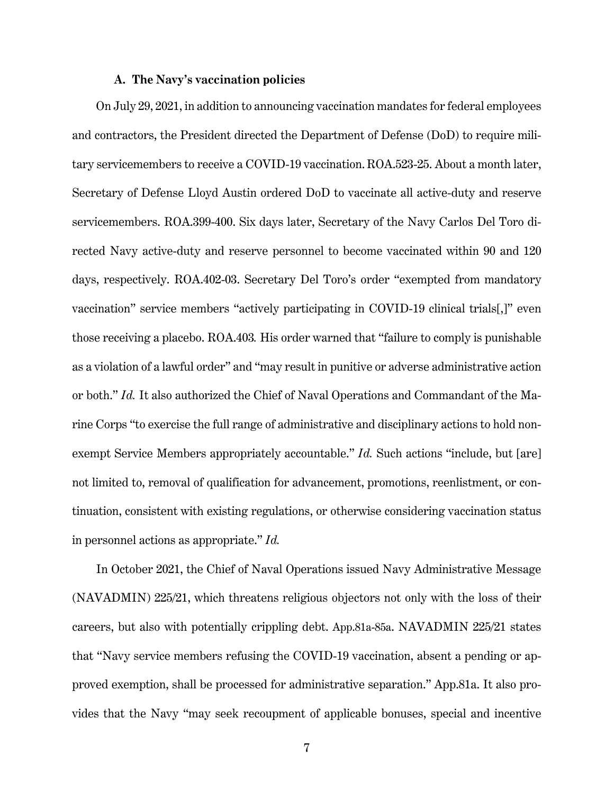#### **A. The Navy's vaccination policies**

On July 29, 2021, in addition to announcing vaccination mandates for federal employees and contractors, the President directed the Department of Defense (DoD) to require military servicemembers to receive a COVID-19 vaccination.ROA.523-25. About a month later, Secretary of Defense Lloyd Austin ordered DoD to vaccinate all active-duty and reserve servicemembers. ROA.399-400. Six days later, Secretary of the Navy Carlos Del Toro directed Navy active-duty and reserve personnel to become vaccinated within 90 and 120 days, respectively. ROA.402-03. Secretary Del Toro's order "exempted from mandatory vaccination" service members "actively participating in COVID-19 clinical trials[,]" even those receiving a placebo. ROA.403*.* His order warned that "failure to comply is punishable as a violation of a lawful order" and "may result in punitive or adverse administrative action or both." *Id.* It also authorized the Chief of Naval Operations and Commandant of the Marine Corps "to exercise the full range of administrative and disciplinary actions to hold nonexempt Service Members appropriately accountable." *Id.* Such actions "include, but [are] not limited to, removal of qualification for advancement, promotions, reenlistment, or continuation, consistent with existing regulations, or otherwise considering vaccination status in personnel actions as appropriate." *Id.*

In October 2021, the Chief of Naval Operations issued Navy Administrative Message (NAVADMIN) 225/21, which threatens religious objectors not only with the loss of their careers, but also with potentially crippling debt. App.81a-85a. NAVADMIN 225/21 states that "Navy service members refusing the COVID-19 vaccination, absent a pending or approved exemption, shall be processed for administrative separation." App.81a. It also provides that the Navy "may seek recoupment of applicable bonuses, special and incentive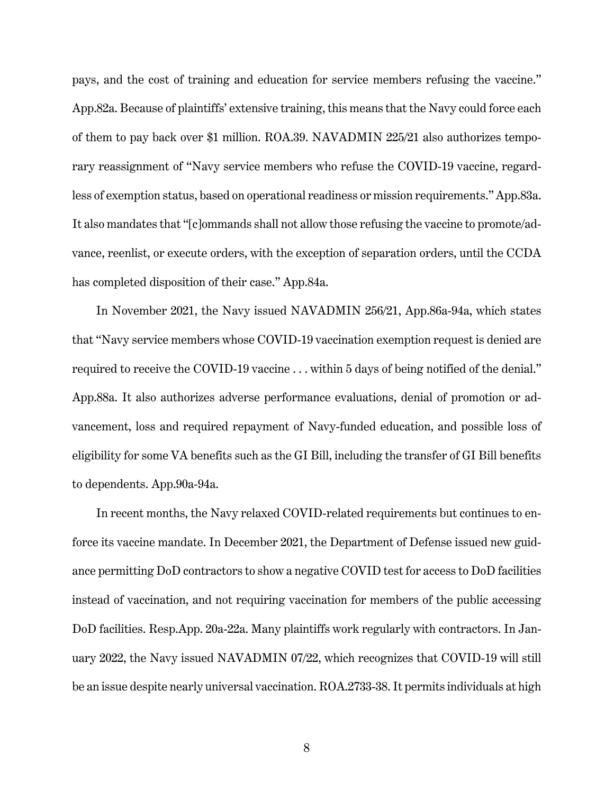pays, and the cost of training and education for service members refusing the vaccine." App.82a. Because of plaintiffs' extensive training, this means that the Navy could force each of them to pay back over \$1 million. ROA.39. NAVADMIN 225/21 also authorizes temporary reassignment of "Navy service members who refuse the COVID-19 vaccine, regardless of exemption status, based on operational readiness or mission requirements." App.83a. It also mandates that "[c]ommands shall not allow those refusing the vaccine to promote/advance, reenlist, or execute orders, with the exception of separation orders, until the CCDA has completed disposition of their case." App.84a.

In November 2021, the Navy issued NAVADMIN 256/21, App.86a-94a, which states that "Navy service members whose COVID-19 vaccination exemption request is denied are required to receive the COVID-19 vaccine . . . within 5 days of being notified of the denial." App.88a. It also authorizes adverse performance evaluations, denial of promotion or advancement, loss and required repayment of Navy-funded education, and possible loss of eligibility for some VA benefits such as the GI Bill, including the transfer of GI Bill benefits to dependents. App.90a-94a.

In recent months, the Navy relaxed COVID-related requirements but continues to enforce its vaccine mandate. In December 2021, the Department of Defense issued new guidance permitting DoD contractors to show a negative COVID test for access to DoD facilities instead of vaccination, and not requiring vaccination for members of the public accessing DoD facilities. Resp.App. 20a-22a. Many plaintiffs work regularly with contractors. In January 2022, the Navy issued NAVADMIN 07/22, which recognizes that COVID-19 will still be an issue despite nearly universal vaccination. ROA.2733-38. It permits individuals at high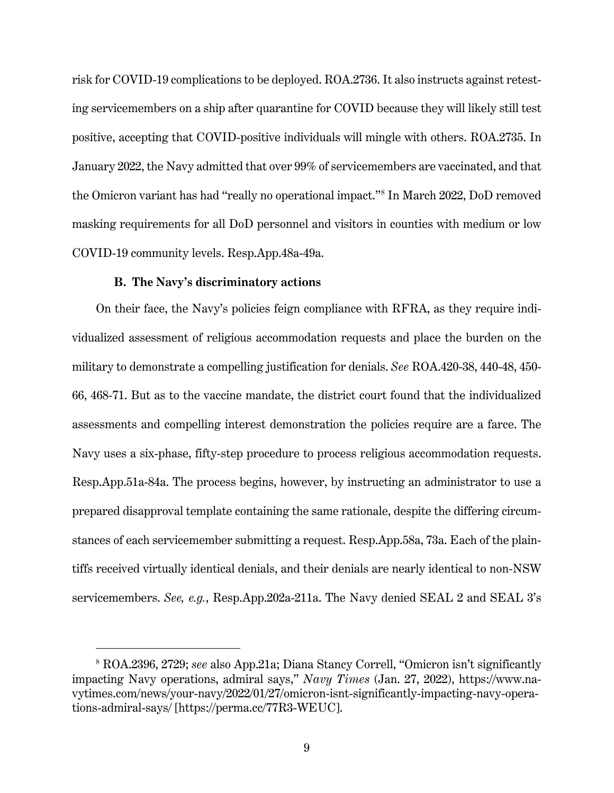risk for COVID-19 complications to be deployed. ROA.2736. It also instructs against retesting servicemembers on a ship after quarantine for COVID because they will likely still test positive, accepting that COVID-positive individuals will mingle with others. ROA.2735. In January 2022, the Navy admitted that over 99% of servicemembers are vaccinated, and that the Omicron variant has had "really no operational impact."[8](#page-14-0) In March 2022, DoD removed masking requirements for all DoD personnel and visitors in counties with medium or low COVID-19 community levels. Resp.App.48a-49a.

#### **B. The Navy's discriminatory actions**

On their face, the Navy's policies feign compliance with RFRA, as they require individualized assessment of religious accommodation requests and place the burden on the military to demonstrate a compelling justification for denials. *See* ROA.420-38, 440-48, 450- 66, 468-71. But as to the vaccine mandate, the district court found that the individualized assessments and compelling interest demonstration the policies require are a farce. The Navy uses a six-phase, fifty-step procedure to process religious accommodation requests. Resp.App.51a-84a. The process begins, however, by instructing an administrator to use a prepared disapproval template containing the same rationale, despite the differing circumstances of each servicemember submitting a request. Resp.App.58a, 73a. Each of the plaintiffs received virtually identical denials, and their denials are nearly identical to non-NSW servicemembers. *See, e.g.*, Resp.App.202a-211a. The Navy denied SEAL 2 and SEAL 3's

<span id="page-14-0"></span><sup>8</sup> ROA.2396, 2729; *see* also App.21a; Diana Stancy Correll, "Omicron isn't significantly impacting Navy operations, admiral says," *Navy Times* (Jan. 27, 2022), https://www.navytimes.com/news/your-navy/2022/01/27/omicron-isnt-significantly-impacting-navy-operations-admiral-says/ [https://perma.cc/77R3-WEUC].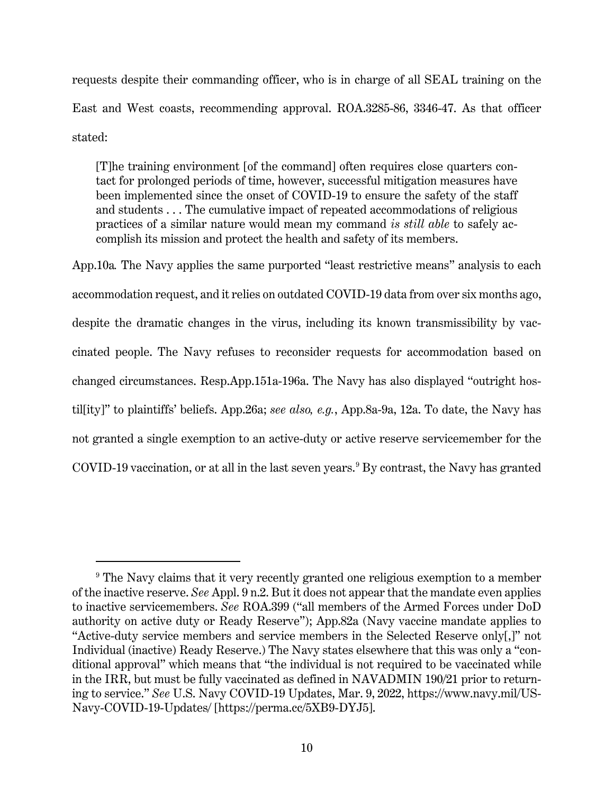requests despite their commanding officer, who is in charge of all SEAL training on the East and West coasts, recommending approval. ROA.3285-86, 3346-47. As that officer stated:

[T]he training environment [of the command] often requires close quarters contact for prolonged periods of time, however, successful mitigation measures have been implemented since the onset of COVID-19 to ensure the safety of the staff and students . . . The cumulative impact of repeated accommodations of religious practices of a similar nature would mean my command *is still able* to safely accomplish its mission and protect the health and safety of its members.

App.10a*.* The Navy applies the same purported "least restrictive means" analysis to each accommodation request, and it relies on outdated COVID-19 data from over six months ago, despite the dramatic changes in the virus, including its known transmissibility by vaccinated people. The Navy refuses to reconsider requests for accommodation based on changed circumstances. Resp.App.151a-196a. The Navy has also displayed "outright hostil[ity]" to plaintiffs' beliefs. App.26a; *see also, e.g.*, App.8a-9a, 12a. To date, the Navy has not granted a single exemption to an active-duty or active reserve servicemember for the COVID-1[9](#page-15-0) vaccination, or at all in the last seven years.<sup>9</sup> By contrast, the Navy has granted

<span id="page-15-0"></span><sup>&</sup>lt;sup>9</sup> The Navy claims that it very recently granted one religious exemption to a member of the inactive reserve. *See* Appl. 9 n.2. But it does not appear that the mandate even applies to inactive servicemembers. *See* ROA.399 ("all members of the Armed Forces under DoD authority on active duty or Ready Reserve"); App.82a (Navy vaccine mandate applies to "Active-duty service members and service members in the Selected Reserve only[,]" not Individual (inactive) Ready Reserve.) The Navy states elsewhere that this was only a "conditional approval" which means that "the individual is not required to be vaccinated while in the IRR, but must be fully vaccinated as defined in NAVADMIN 190/21 prior to returning to service." *See* U.S. Navy COVID-19 Updates, Mar. 9, 2022, https://www.navy.mil/US-Navy-COVID-19-Updates/ [https://perma.cc/5XB9-DYJ5].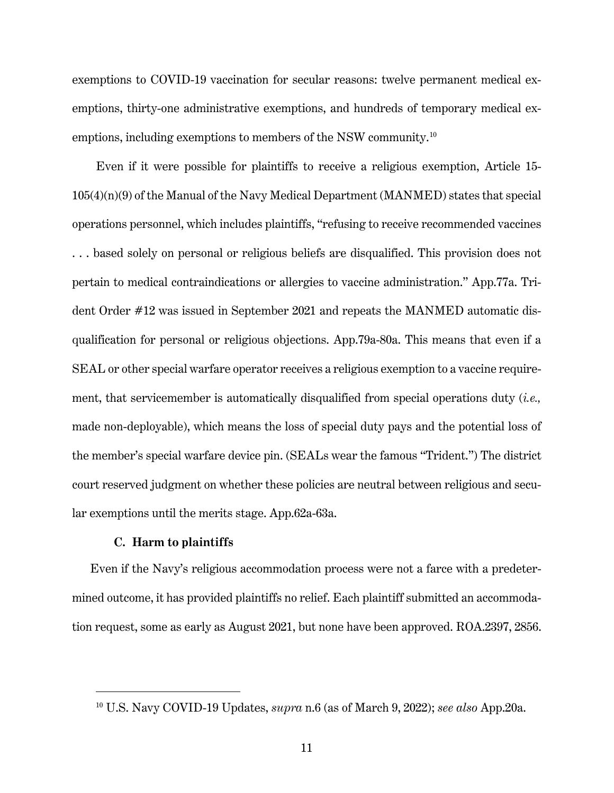exemptions to COVID-19 vaccination for secular reasons: twelve permanent medical exemptions, thirty-one administrative exemptions, and hundreds of temporary medical ex-emptions, including exemptions to members of the NSW community.<sup>[10](#page-16-0)</sup>

Even if it were possible for plaintiffs to receive a religious exemption, Article 15- 105(4)(n)(9) of the Manual of the Navy Medical Department (MANMED) states that special operations personnel, which includes plaintiffs, "refusing to receive recommended vaccines . . . based solely on personal or religious beliefs are disqualified. This provision does not pertain to medical contraindications or allergies to vaccine administration." App.77a. Trident Order #12 was issued in September 2021 and repeats the MANMED automatic disqualification for personal or religious objections. App.79a-80a. This means that even if a SEAL or other special warfare operator receives a religious exemption to a vaccine requirement, that servicemember is automatically disqualified from special operations duty (*i.e.,* made non-deployable), which means the loss of special duty pays and the potential loss of the member's special warfare device pin. (SEALs wear the famous "Trident.") The district court reserved judgment on whether these policies are neutral between religious and secular exemptions until the merits stage. App.62a-63a.

#### **C. Harm to plaintiffs**

Even if the Navy's religious accommodation process were not a farce with a predetermined outcome, it has provided plaintiffs no relief. Each plaintiff submitted an accommodation request, some as early as August 2021, but none have been approved. ROA.2397, 2856.

<span id="page-16-0"></span><sup>10</sup> U.S. Navy COVID-19 Updates, *supra* n.6 (as of March 9, 2022); *see also* App.20a.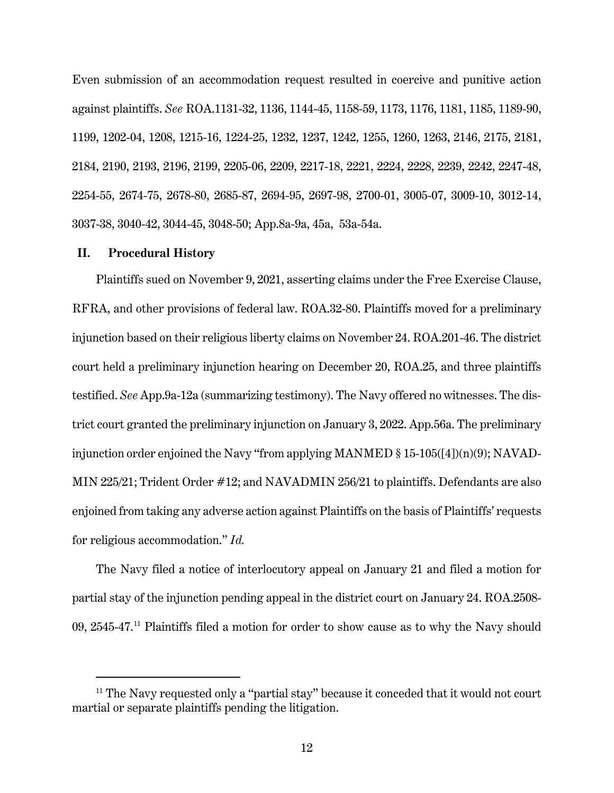Even submission of an accommodation request resulted in coercive and punitive action against plaintiffs. *See* ROA.1131-32, 1136, 1144-45, 1158-59, 1173, 1176, 1181, 1185, 1189-90, 1199, 1202-04, 1208, 1215-16, 1224-25, 1232, 1237, 1242, 1255, 1260, 1263, 2146, 2175, 2181, 2184, 2190, 2193, 2196, 2199, 2205-06, 2209, 2217-18, 2221, 2224, 2228, 2239, 2242, 2247-48, 2254-55, 2674-75, 2678-80, 2685-87, 2694-95, 2697-98, 2700-01, 3005-07, 3009-10, 3012-14, 3037-38, 3040-42, 3044-45, 3048-50; App.8a-9a, 45a, 53a-54a.

#### **II. Procedural History**

Plaintiffs sued on November 9, 2021, asserting claims under the Free Exercise Clause, RFRA, and other provisions of federal law. ROA.32-80. Plaintiffs moved for a preliminary injunction based on their religious liberty claims on November 24. ROA.201-46. The district court held a preliminary injunction hearing on December 20, ROA.25, and three plaintiffs testified. *See* App.9a-12a (summarizing testimony). The Navy offered no witnesses. The district court granted the preliminary injunction on January 3, 2022. App.56a. The preliminary injunction order enjoined the Navy "from applying MANMED § 15-105([4])(n)(9); NAVAD-MIN 225/21; Trident Order #12; and NAVADMIN 256/21 to plaintiffs. Defendants are also enjoined from taking any adverse action against Plaintiffs on the basis of Plaintiffs' requests for religious accommodation." *Id.*

The Navy filed a notice of interlocutory appeal on January 21 and filed a motion for partial stay of the injunction pending appeal in the district court on January 24. ROA.2508- 09, 2545-47. [11](#page-17-0) Plaintiffs filed a motion for order to show cause as to why the Navy should

<span id="page-17-0"></span> $11$  The Navy requested only a "partial stay" because it conceded that it would not court martial or separate plaintiffs pending the litigation.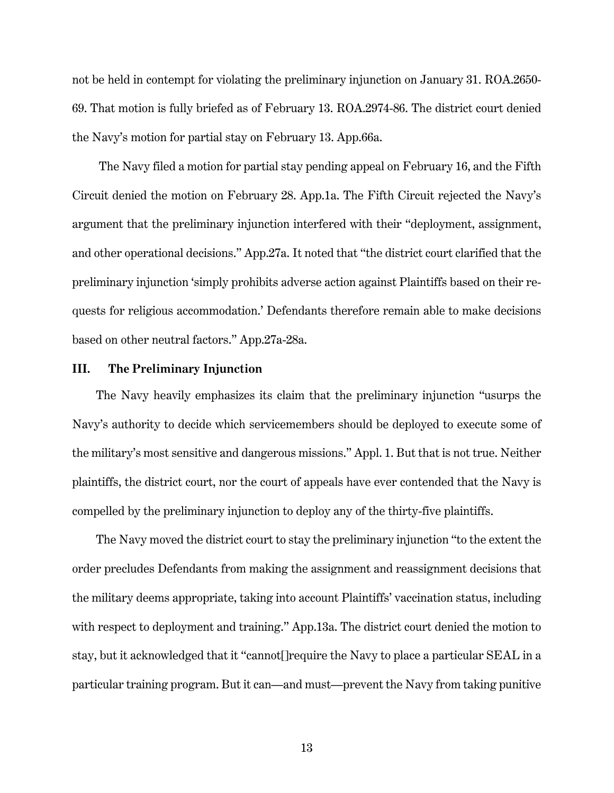not be held in contempt for violating the preliminary injunction on January 31. ROA.2650- 69. That motion is fully briefed as of February 13. ROA.2974-86. The district court denied the Navy's motion for partial stay on February 13. App.66a.

The Navy filed a motion for partial stay pending appeal on February 16, and the Fifth Circuit denied the motion on February 28. App.1a. The Fifth Circuit rejected the Navy's argument that the preliminary injunction interfered with their "deployment, assignment, and other operational decisions." App.27a. It noted that "the district court clarified that the preliminary injunction 'simply prohibits adverse action against Plaintiffs based on their requests for religious accommodation.' Defendants therefore remain able to make decisions based on other neutral factors." App.27a-28a.

## **III. The Preliminary Injunction**

The Navy heavily emphasizes its claim that the preliminary injunction "usurps the Navy's authority to decide which servicemembers should be deployed to execute some of the military's most sensitive and dangerous missions." Appl. 1. But that is not true. Neither plaintiffs, the district court, nor the court of appeals have ever contended that the Navy is compelled by the preliminary injunction to deploy any of the thirty-five plaintiffs.

The Navy moved the district court to stay the preliminary injunction "to the extent the order precludes Defendants from making the assignment and reassignment decisions that the military deems appropriate, taking into account Plaintiffs' vaccination status, including with respect to deployment and training." App.13a. The district court denied the motion to stay, but it acknowledged that it "cannot[]require the Navy to place a particular SEAL in a particular training program. But it can—and must—prevent the Navy from taking punitive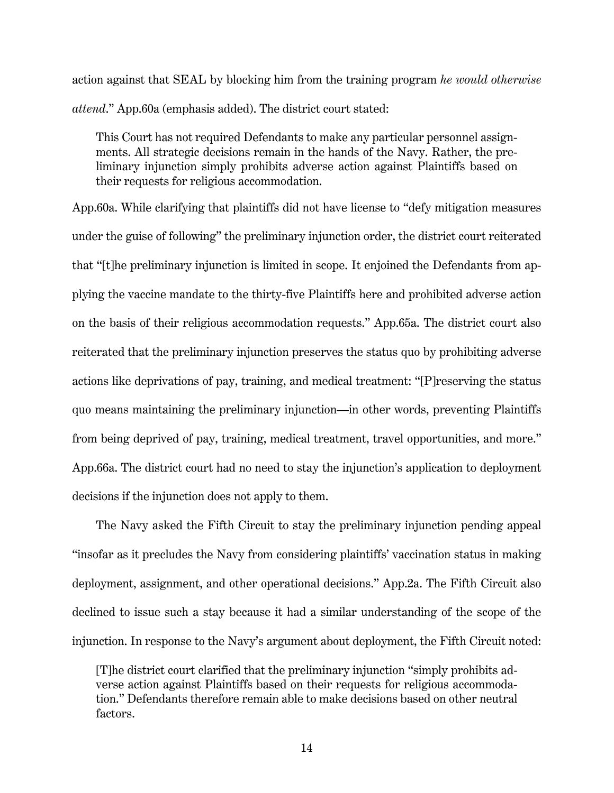action against that SEAL by blocking him from the training program *he would otherwise attend*." App.60a (emphasis added). The district court stated:

This Court has not required Defendants to make any particular personnel assignments. All strategic decisions remain in the hands of the Navy. Rather, the preliminary injunction simply prohibits adverse action against Plaintiffs based on their requests for religious accommodation.

App.60a. While clarifying that plaintiffs did not have license to "defy mitigation measures under the guise of following" the preliminary injunction order, the district court reiterated that "[t]he preliminary injunction is limited in scope. It enjoined the Defendants from applying the vaccine mandate to the thirty-five Plaintiffs here and prohibited adverse action on the basis of their religious accommodation requests." App.65a. The district court also reiterated that the preliminary injunction preserves the status quo by prohibiting adverse actions like deprivations of pay, training, and medical treatment: "[P]reserving the status quo means maintaining the preliminary injunction—in other words, preventing Plaintiffs from being deprived of pay, training, medical treatment, travel opportunities, and more." App.66a. The district court had no need to stay the injunction's application to deployment decisions if the injunction does not apply to them.

The Navy asked the Fifth Circuit to stay the preliminary injunction pending appeal "insofar as it precludes the Navy from considering plaintiffs' vaccination status in making deployment, assignment, and other operational decisions." App.2a. The Fifth Circuit also declined to issue such a stay because it had a similar understanding of the scope of the injunction. In response to the Navy's argument about deployment, the Fifth Circuit noted:

[T]he district court clarified that the preliminary injunction "simply prohibits adverse action against Plaintiffs based on their requests for religious accommodation." Defendants therefore remain able to make decisions based on other neutral factors.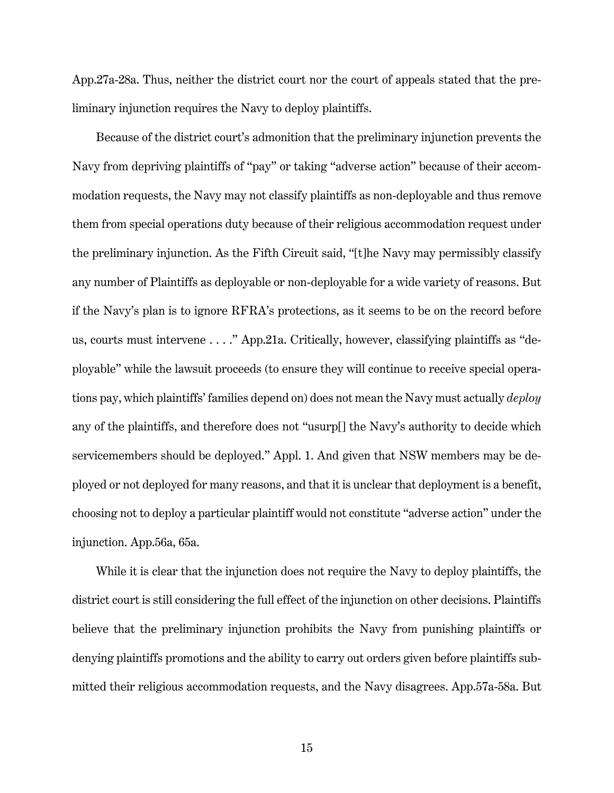App.27a-28a. Thus, neither the district court nor the court of appeals stated that the preliminary injunction requires the Navy to deploy plaintiffs.

Because of the district court's admonition that the preliminary injunction prevents the Navy from depriving plaintiffs of "pay" or taking "adverse action" because of their accommodation requests, the Navy may not classify plaintiffs as non-deployable and thus remove them from special operations duty because of their religious accommodation request under the preliminary injunction. As the Fifth Circuit said, "[t]he Navy may permissibly classify any number of Plaintiffs as deployable or non-deployable for a wide variety of reasons. But if the Navy's plan is to ignore RFRA's protections, as it seems to be on the record before us, courts must intervene . . . ." App.21a. Critically, however, classifying plaintiffs as "deployable" while the lawsuit proceeds (to ensure they will continue to receive special operations pay, which plaintiffs' families depend on) does not mean the Navy must actually *deploy*  any of the plaintiffs, and therefore does not "usurp[] the Navy's authority to decide which servicemembers should be deployed." Appl. 1. And given that NSW members may be deployed or not deployed for many reasons, and that it is unclear that deployment is a benefit, choosing not to deploy a particular plaintiff would not constitute "adverse action" under the injunction. App.56a, 65a.

While it is clear that the injunction does not require the Navy to deploy plaintiffs, the district court is still considering the full effect of the injunction on other decisions. Plaintiffs believe that the preliminary injunction prohibits the Navy from punishing plaintiffs or denying plaintiffs promotions and the ability to carry out orders given before plaintiffs submitted their religious accommodation requests, and the Navy disagrees. App.57a-58a. But

15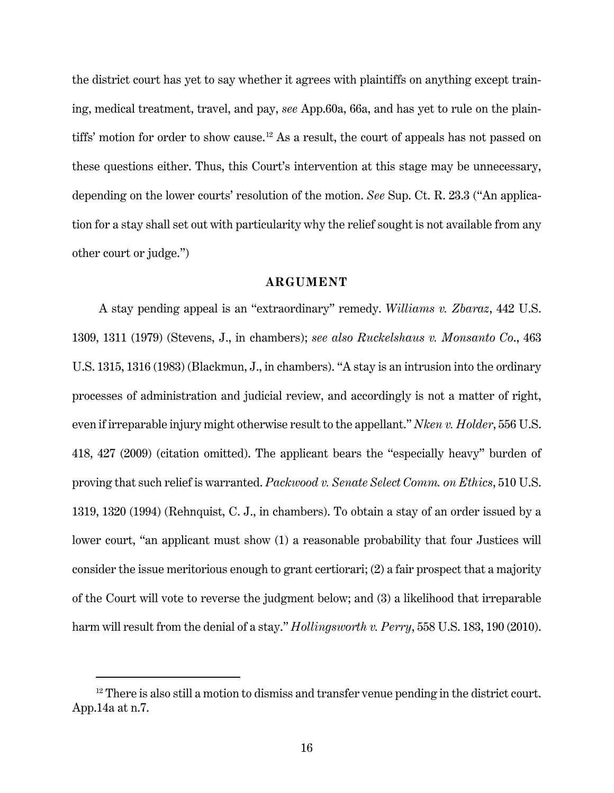the district court has yet to say whether it agrees with plaintiffs on anything except training, medical treatment, travel, and pay, *see* App.60a, 66a, and has yet to rule on the plain-tiffs' motion for order to show cause.<sup>[12](#page-21-0)</sup> As a result, the court of appeals has not passed on these questions either. Thus, this Court's intervention at this stage may be unnecessary, depending on the lower courts' resolution of the motion. *See* Sup. Ct. R. 23.3 ("An application for a stay shall set out with particularity why the relief sought is not available from any other court or judge.")

# **ARGUMENT**

A stay pending appeal is an "extraordinary" remedy. *Williams v. Zbaraz*, 442 U.S. 1309, 1311 (1979) (Stevens, J., in chambers); *see also Ruckelshaus v. Monsanto Co*., 463 U.S. 1315, 1316 (1983) (Blackmun, J., in chambers). "A stay is an intrusion into the ordinary processes of administration and judicial review, and accordingly is not a matter of right, even if irreparable injury might otherwise result to the appellant." *Nken v. Holder*, 556 U.S. 418, 427 (2009) (citation omitted). The applicant bears the "especially heavy" burden of proving that such relief is warranted. *Packwood v. Senate Select Comm. on Ethics*, 510 U.S. 1319, 1320 (1994) (Rehnquist, C. J., in chambers). To obtain a stay of an order issued by a lower court, "an applicant must show (1) a reasonable probability that four Justices will consider the issue meritorious enough to grant certiorari; (2) a fair prospect that a majority of the Court will vote to reverse the judgment below; and (3) a likelihood that irreparable harm will result from the denial of a stay." *Hollingsworth v. Perry*, 558 U.S. 183, 190 (2010).

<span id="page-21-0"></span> $12$  There is also still a motion to dismiss and transfer venue pending in the district court. App.14a at n.7.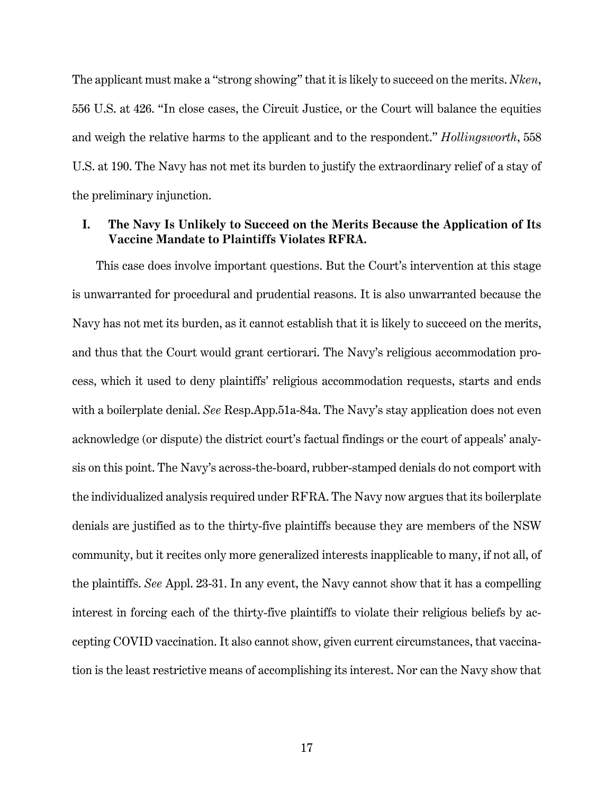The applicant must make a "strong showing" that it is likely to succeed on the merits. *Nken*, 556 U.S. at 426. "In close cases, the Circuit Justice, or the Court will balance the equities and weigh the relative harms to the applicant and to the respondent." *Hollingsworth*, 558 U.S. at 190. The Navy has not met its burden to justify the extraordinary relief of a stay of the preliminary injunction.

# **I. The Navy Is Unlikely to Succeed on the Merits Because the Application of Its Vaccine Mandate to Plaintiffs Violates RFRA.**

This case does involve important questions. But the Court's intervention at this stage is unwarranted for procedural and prudential reasons. It is also unwarranted because the Navy has not met its burden, as it cannot establish that it is likely to succeed on the merits, and thus that the Court would grant certiorari. The Navy's religious accommodation process, which it used to deny plaintiffs' religious accommodation requests, starts and ends with a boilerplate denial. *See* Resp.App.51a-84a. The Navy's stay application does not even acknowledge (or dispute) the district court's factual findings or the court of appeals' analysis on this point. The Navy's across-the-board, rubber-stamped denials do not comport with the individualized analysis required under RFRA. The Navy now argues that its boilerplate denials are justified as to the thirty-five plaintiffs because they are members of the NSW community, but it recites only more generalized interests inapplicable to many, if not all, of the plaintiffs. *See* Appl. 23-31. In any event, the Navy cannot show that it has a compelling interest in forcing each of the thirty-five plaintiffs to violate their religious beliefs by accepting COVID vaccination. It also cannot show, given current circumstances, that vaccination is the least restrictive means of accomplishing its interest. Nor can the Navy show that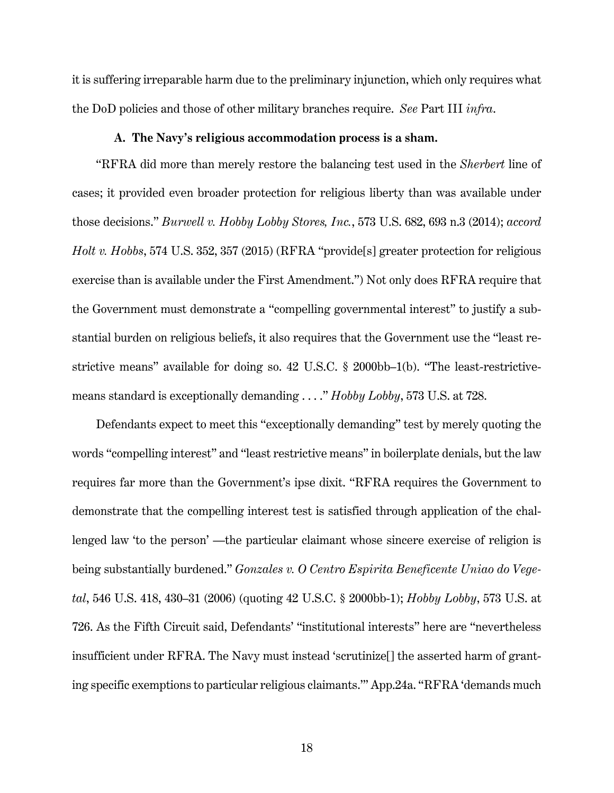it is suffering irreparable harm due to the preliminary injunction, which only requires what the DoD policies and those of other military branches require. *See* Part III *infra*.

#### **A. The Navy's religious accommodation process is a sham.**

"RFRA did more than merely restore the balancing test used in the *Sherbert* line of cases; it provided even broader protection for religious liberty than was available under those decisions." *Burwell v. Hobby Lobby Stores, Inc.*, 573 U.S. 682, 693 n.3 (2014); *accord Holt v. Hobbs*, 574 U.S. 352, 357 (2015) (RFRA "provide[s] greater protection for religious exercise than is available under the First Amendment.") Not only does RFRA require that the Government must demonstrate a "compelling governmental interest" to justify a substantial burden on religious beliefs, it also requires that the Government use the "least restrictive means" available for doing so. 42 U.S.C. § 2000bb–1(b). "The least-restrictivemeans standard is exceptionally demanding . . . ." *Hobby Lobby*, 573 U.S. at 728.

Defendants expect to meet this "exceptionally demanding" test by merely quoting the words "compelling interest" and "least restrictive means" in boilerplate denials, but the law requires far more than the Government's ipse dixit. "RFRA requires the Government to demonstrate that the compelling interest test is satisfied through application of the challenged law 'to the person' —the particular claimant whose sincere exercise of religion is being substantially burdened." *Gonzales v. O Centro Espirita Beneficente Uniao do Vegetal*, 546 U.S. 418, 430–31 (2006) (quoting 42 U.S.C. § 2000bb-1); *Hobby Lobby*, 573 U.S. at 726. As the Fifth Circuit said, Defendants' "institutional interests" here are "nevertheless insufficient under RFRA. The Navy must instead 'scrutinize[] the asserted harm of granting specific exemptions to particular religious claimants.'" App.24a. "RFRA 'demands much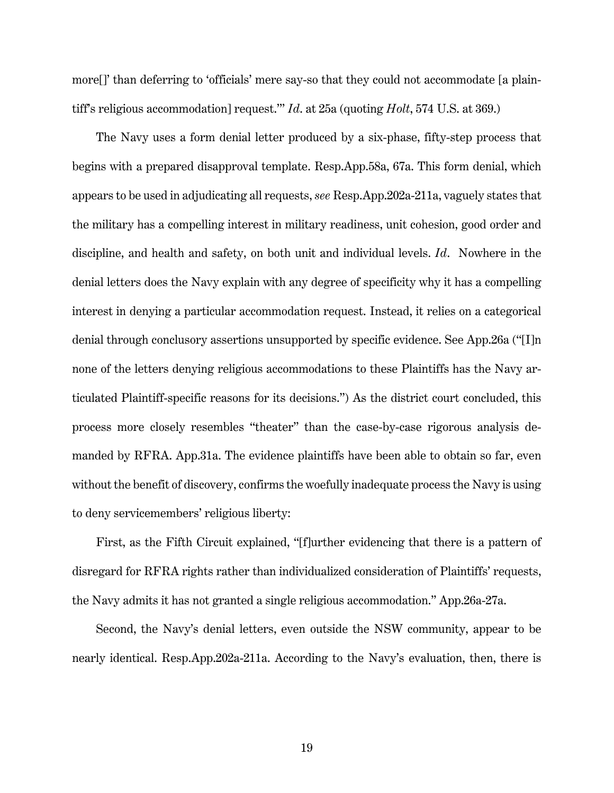more[]' than deferring to 'officials' mere say-so that they could not accommodate [a plaintiff's religious accommodation] request.'" *Id*. at 25a (quoting *Holt*, 574 U.S. at 369.)

The Navy uses a form denial letter produced by a six-phase, fifty-step process that begins with a prepared disapproval template. Resp.App.58a, 67a. This form denial, which appears to be used in adjudicating all requests, *see* Resp.App.202a-211a, vaguely states that the military has a compelling interest in military readiness, unit cohesion, good order and discipline, and health and safety, on both unit and individual levels. *Id*. Nowhere in the denial letters does the Navy explain with any degree of specificity why it has a compelling interest in denying a particular accommodation request. Instead, it relies on a categorical denial through conclusory assertions unsupported by specific evidence. See App.26a ("[I]n none of the letters denying religious accommodations to these Plaintiffs has the Navy articulated Plaintiff-specific reasons for its decisions.") As the district court concluded, this process more closely resembles "theater" than the case-by-case rigorous analysis demanded by RFRA. App.31a. The evidence plaintiffs have been able to obtain so far, even without the benefit of discovery, confirms the woefully inadequate process the Navy is using to deny servicemembers' religious liberty:

First, as the Fifth Circuit explained, "[f]urther evidencing that there is a pattern of disregard for RFRA rights rather than individualized consideration of Plaintiffs' requests, the Navy admits it has not granted a single religious accommodation." App.26a-27a.

Second, the Navy's denial letters, even outside the NSW community, appear to be nearly identical. Resp.App.202a-211a. According to the Navy's evaluation, then, there is

19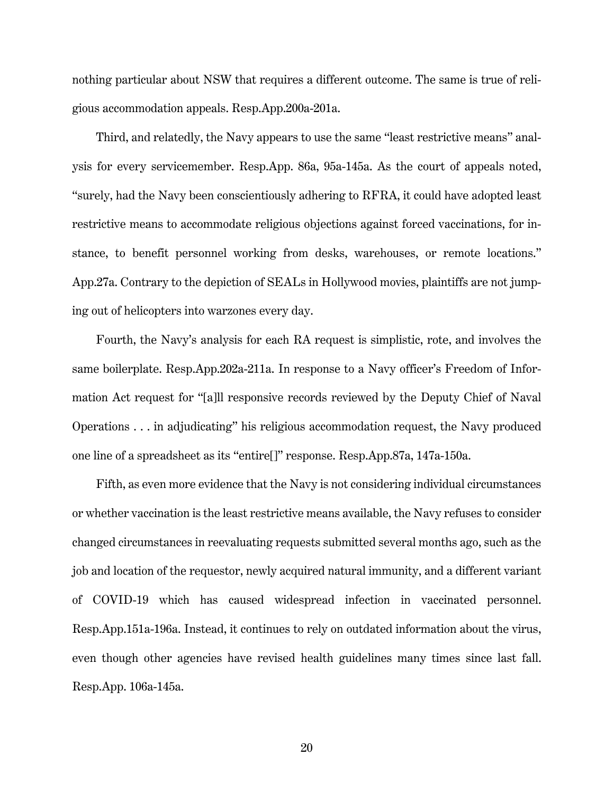nothing particular about NSW that requires a different outcome. The same is true of religious accommodation appeals. Resp.App.200a-201a.

Third, and relatedly, the Navy appears to use the same "least restrictive means" analysis for every servicemember. Resp.App. 86a, 95a-145a. As the court of appeals noted, "surely, had the Navy been conscientiously adhering to RFRA, it could have adopted least restrictive means to accommodate religious objections against forced vaccinations, for instance, to benefit personnel working from desks, warehouses, or remote locations." App.27a. Contrary to the depiction of SEALs in Hollywood movies, plaintiffs are not jumping out of helicopters into warzones every day.

Fourth, the Navy's analysis for each RA request is simplistic, rote, and involves the same boilerplate. Resp.App.202a-211a. In response to a Navy officer's Freedom of Information Act request for "[a]ll responsive records reviewed by the Deputy Chief of Naval Operations . . . in adjudicating" his religious accommodation request, the Navy produced one line of a spreadsheet as its "entire[]" response. Resp.App.87a, 147a-150a.

Fifth, as even more evidence that the Navy is not considering individual circumstances or whether vaccination is the least restrictive means available, the Navy refuses to consider changed circumstances in reevaluating requests submitted several months ago, such as the job and location of the requestor, newly acquired natural immunity, and a different variant of COVID-19 which has caused widespread infection in vaccinated personnel. Resp.App.151a-196a. Instead, it continues to rely on outdated information about the virus, even though other agencies have revised health guidelines many times since last fall. Resp.App. 106a-145a.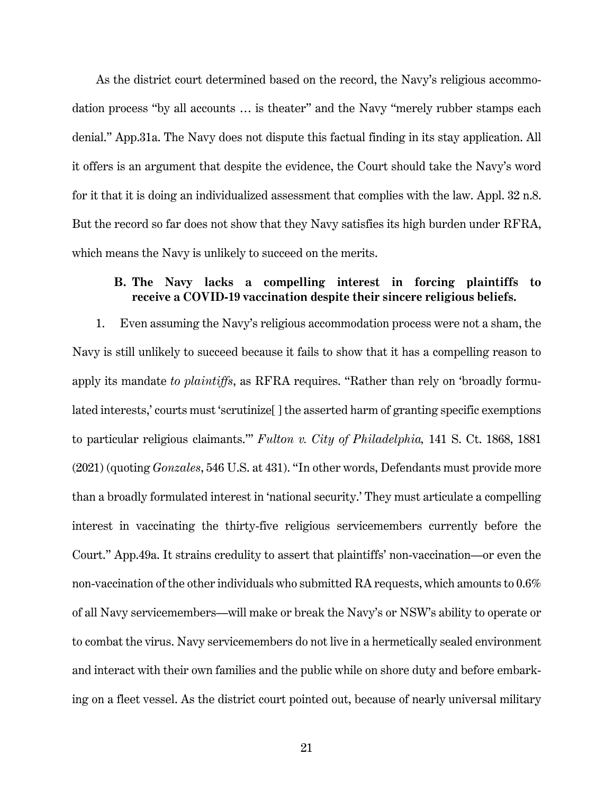As the district court determined based on the record, the Navy's religious accommodation process "by all accounts … is theater" and the Navy "merely rubber stamps each denial." App.31a. The Navy does not dispute this factual finding in its stay application. All it offers is an argument that despite the evidence, the Court should take the Navy's word for it that it is doing an individualized assessment that complies with the law. Appl. 32 n.8. But the record so far does not show that they Navy satisfies its high burden under RFRA, which means the Navy is unlikely to succeed on the merits.

# **B. The Navy lacks a compelling interest in forcing plaintiffs to receive a COVID-19 vaccination despite their sincere religious beliefs.**

1. Even assuming the Navy's religious accommodation process were not a sham, the Navy is still unlikely to succeed because it fails to show that it has a compelling reason to apply its mandate *to plaintiffs*, as RFRA requires. "Rather than rely on 'broadly formulated interests,' courts must 'scrutinize<sup>[]</sup> the asserted harm of granting specific exemptions to particular religious claimants.'" *Fulton v. City of Philadelphia,* 141 S. Ct. 1868, 1881 (2021) (quoting *Gonzales*, 546 U.S. at 431). "In other words, Defendants must provide more than a broadly formulated interest in 'national security.' They must articulate a compelling interest in vaccinating the thirty-five religious servicemembers currently before the Court." App.49a. It strains credulity to assert that plaintiffs' non-vaccination—or even the non-vaccination of the other individuals who submitted RA requests, which amounts to 0.6% of all Navy servicemembers—will make or break the Navy's or NSW's ability to operate or to combat the virus. Navy servicemembers do not live in a hermetically sealed environment and interact with their own families and the public while on shore duty and before embarking on a fleet vessel. As the district court pointed out, because of nearly universal military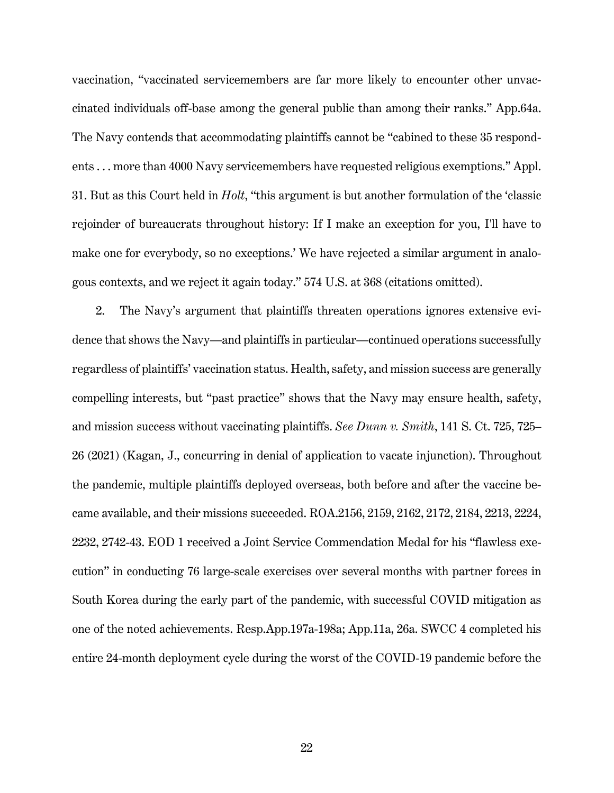vaccination, "vaccinated servicemembers are far more likely to encounter other unvaccinated individuals off-base among the general public than among their ranks." App.64a. The Navy contends that accommodating plaintiffs cannot be "cabined to these 35 respondents . . . more than 4000 Navy servicemembers have requested religious exemptions." Appl. 31. But as this Court held in *Holt*, "this argument is but another formulation of the 'classic rejoinder of bureaucrats throughout history: If I make an exception for you, I'll have to make one for everybody, so no exceptions.' We have rejected a similar argument in analogous contexts, and we reject it again today." 574 U.S. at 368 (citations omitted).

2. The Navy's argument that plaintiffs threaten operations ignores extensive evidence that shows the Navy—and plaintiffs in particular—continued operations successfully regardless of plaintiffs' vaccination status. Health, safety, and mission success are generally compelling interests, but "past practice" shows that the Navy may ensure health, safety, and mission success without vaccinating plaintiffs. *See Dunn v. Smith*, 141 S. Ct. 725, 725– 26 (2021) (Kagan, J., concurring in denial of application to vacate injunction). Throughout the pandemic, multiple plaintiffs deployed overseas, both before and after the vaccine became available, and their missions succeeded. ROA.2156, 2159, 2162, 2172, 2184, 2213, 2224, 2232, 2742-43. EOD 1 received a Joint Service Commendation Medal for his "flawless execution" in conducting 76 large-scale exercises over several months with partner forces in South Korea during the early part of the pandemic, with successful COVID mitigation as one of the noted achievements. Resp.App.197a-198a; App.11a, 26a. SWCC 4 completed his entire 24-month deployment cycle during the worst of the COVID-19 pandemic before the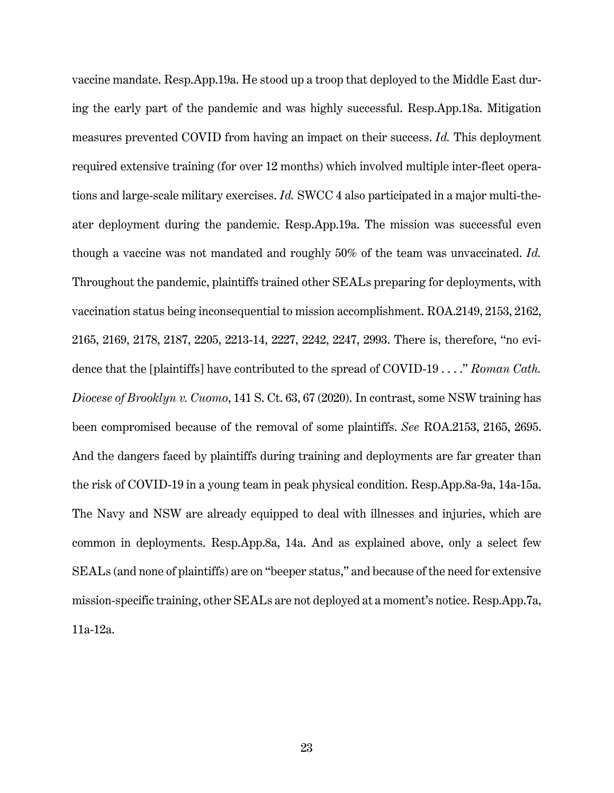vaccine mandate. Resp.App.19a. He stood up a troop that deployed to the Middle East during the early part of the pandemic and was highly successful. Resp.App.18a. Mitigation measures prevented COVID from having an impact on their success. *Id.* This deployment required extensive training (for over 12 months) which involved multiple inter-fleet operations and large-scale military exercises. *Id.* SWCC 4 also participated in a major multi-theater deployment during the pandemic. Resp.App.19a. The mission was successful even though a vaccine was not mandated and roughly 50% of the team was unvaccinated. *Id.* Throughout the pandemic, plaintiffs trained other SEALs preparing for deployments, with vaccination status being inconsequential to mission accomplishment. ROA.2149, 2153, 2162, 2165, 2169, 2178, 2187, 2205, 2213-14, 2227, 2242, 2247, 2993. There is, therefore, "no evidence that the [plaintiffs] have contributed to the spread of COVID-19 . . . ." *Roman Cath. Diocese of Brooklyn v. Cuomo*, 141 S. Ct. 63, 67 (2020). In contrast, some NSW training has been compromised because of the removal of some plaintiffs. *See* ROA.2153, 2165, 2695. And the dangers faced by plaintiffs during training and deployments are far greater than the risk of COVID-19 in a young team in peak physical condition. Resp.App.8a-9a, 14a-15a. The Navy and NSW are already equipped to deal with illnesses and injuries, which are common in deployments. Resp.App.8a, 14a. And as explained above, only a select few SEALs (and none of plaintiffs) are on "beeper status," and because of the need for extensive mission-specific training, other SEALs are not deployed at a moment's notice. Resp.App.7a, 11a-12a.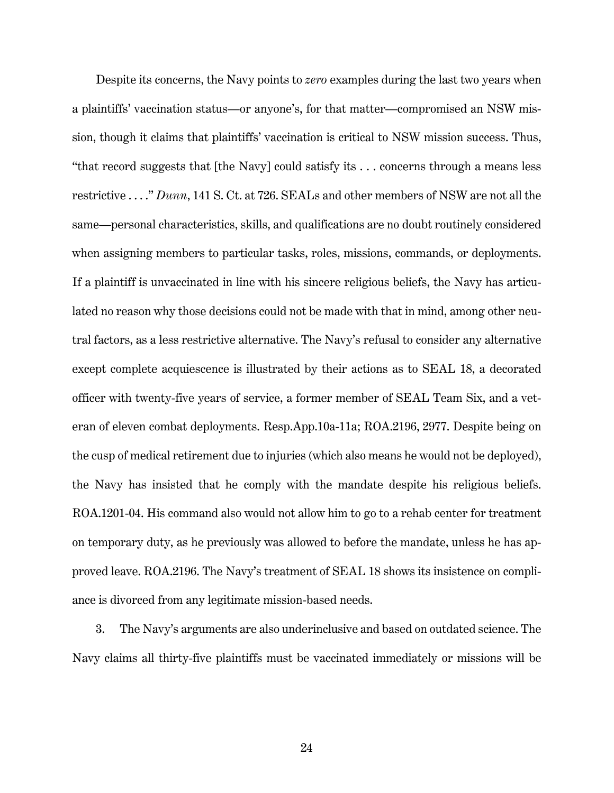Despite its concerns, the Navy points to *zero* examples during the last two years when a plaintiffs' vaccination status—or anyone's, for that matter—compromised an NSW mission, though it claims that plaintiffs' vaccination is critical to NSW mission success. Thus, "that record suggests that [the Navy] could satisfy its . . . concerns through a means less restrictive . . . ." *Dunn*, 141 S. Ct. at 726. SEALs and other members of NSW are not all the same—personal characteristics, skills, and qualifications are no doubt routinely considered when assigning members to particular tasks, roles, missions, commands, or deployments. If a plaintiff is unvaccinated in line with his sincere religious beliefs, the Navy has articulated no reason why those decisions could not be made with that in mind, among other neutral factors, as a less restrictive alternative. The Navy's refusal to consider any alternative except complete acquiescence is illustrated by their actions as to SEAL 18, a decorated officer with twenty-five years of service, a former member of SEAL Team Six, and a veteran of eleven combat deployments. Resp.App.10a-11a; ROA.2196, 2977. Despite being on the cusp of medical retirement due to injuries (which also means he would not be deployed), the Navy has insisted that he comply with the mandate despite his religious beliefs. ROA.1201-04. His command also would not allow him to go to a rehab center for treatment on temporary duty, as he previously was allowed to before the mandate, unless he has approved leave. ROA.2196. The Navy's treatment of SEAL 18 shows its insistence on compliance is divorced from any legitimate mission-based needs.

3. The Navy's arguments are also underinclusive and based on outdated science. The Navy claims all thirty-five plaintiffs must be vaccinated immediately or missions will be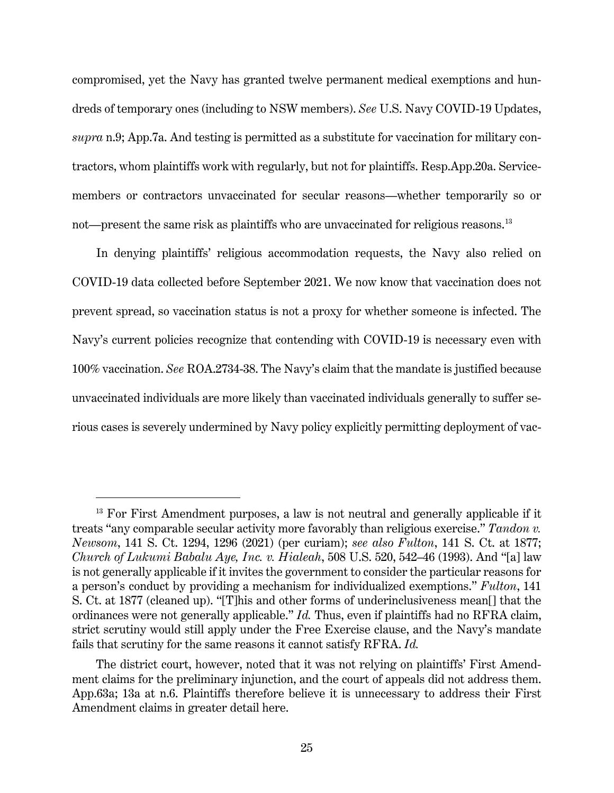compromised, yet the Navy has granted twelve permanent medical exemptions and hundreds of temporary ones (including to NSW members). *See* U.S. Navy COVID-19 Updates, *supra* n.9; App.7a. And testing is permitted as a substitute for vaccination for military contractors, whom plaintiffs work with regularly, but not for plaintiffs. Resp.App.20a. Servicemembers or contractors unvaccinated for secular reasons—whether temporarily so or not—present the same risk as plaintiffs who are unvaccinated for religious reasons.[13](#page-30-0)

In denying plaintiffs' religious accommodation requests, the Navy also relied on COVID-19 data collected before September 2021. We now know that vaccination does not prevent spread, so vaccination status is not a proxy for whether someone is infected. The Navy's current policies recognize that contending with COVID-19 is necessary even with 100% vaccination. *See* ROA.2734-38. The Navy's claim that the mandate is justified because unvaccinated individuals are more likely than vaccinated individuals generally to suffer serious cases is severely undermined by Navy policy explicitly permitting deployment of vac-

<span id="page-30-0"></span> $13$  For First Amendment purposes, a law is not neutral and generally applicable if it treats "any comparable secular activity more favorably than religious exercise." *Tandon v. Newsom*, 141 S. Ct. 1294, 1296 (2021) (per curiam); *see also Fulton*, 141 S. Ct. at 1877; *Church of Lukumi Babalu Aye, Inc. v. Hialeah*, 508 U.S. 520, 542–46 (1993). And "[a] law is not generally applicable if it invites the government to consider the particular reasons for a person's conduct by providing a mechanism for individualized exemptions." *Fulton*, 141 S. Ct. at 1877 (cleaned up). "[T]his and other forms of underinclusiveness mean[] that the ordinances were not generally applicable." *Id.* Thus, even if plaintiffs had no RFRA claim, strict scrutiny would still apply under the Free Exercise clause, and the Navy's mandate fails that scrutiny for the same reasons it cannot satisfy RFRA. *Id.*

The district court, however, noted that it was not relying on plaintiffs' First Amendment claims for the preliminary injunction, and the court of appeals did not address them. App.63a; 13a at n.6. Plaintiffs therefore believe it is unnecessary to address their First Amendment claims in greater detail here.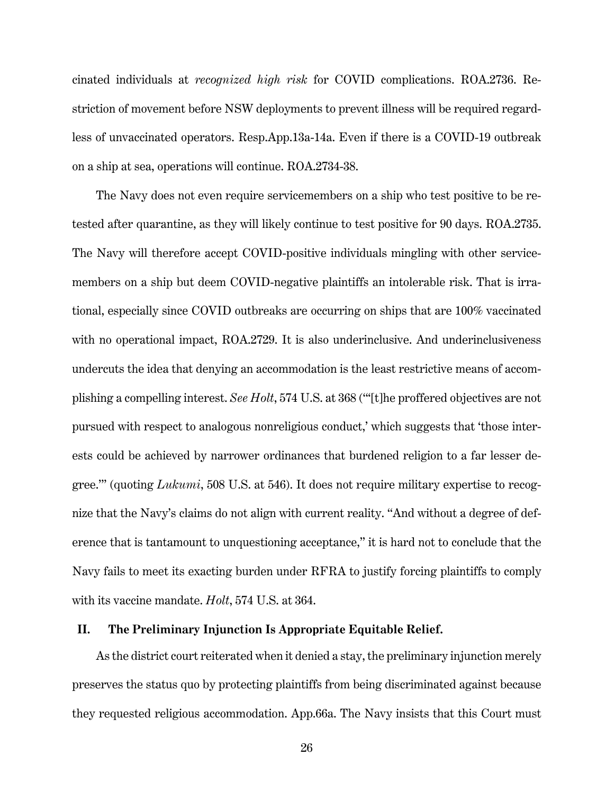cinated individuals at *recognized high risk* for COVID complications. ROA.2736. Restriction of movement before NSW deployments to prevent illness will be required regardless of unvaccinated operators. Resp.App.13a-14a. Even if there is a COVID-19 outbreak on a ship at sea, operations will continue. ROA.2734-38.

The Navy does not even require servicemembers on a ship who test positive to be retested after quarantine, as they will likely continue to test positive for 90 days. ROA.2735. The Navy will therefore accept COVID-positive individuals mingling with other servicemembers on a ship but deem COVID-negative plaintiffs an intolerable risk. That is irrational, especially since COVID outbreaks are occurring on ships that are 100% vaccinated with no operational impact, ROA.2729. It is also underinclusive. And underinclusiveness undercuts the idea that denying an accommodation is the least restrictive means of accomplishing a compelling interest. *See Holt*, 574 U.S. at 368 ("'[t]he proffered objectives are not pursued with respect to analogous nonreligious conduct,' which suggests that 'those interests could be achieved by narrower ordinances that burdened religion to a far lesser degree.'" (quoting *Lukumi*, 508 U.S. at 546). It does not require military expertise to recognize that the Navy's claims do not align with current reality. "And without a degree of deference that is tantamount to unquestioning acceptance," it is hard not to conclude that the Navy fails to meet its exacting burden under RFRA to justify forcing plaintiffs to comply with its vaccine mandate. *Holt*, 574 U.S. at 364.

# **II. The Preliminary Injunction Is Appropriate Equitable Relief.**

As the district court reiterated when it denied a stay, the preliminary injunction merely preserves the status quo by protecting plaintiffs from being discriminated against because they requested religious accommodation. App.66a. The Navy insists that this Court must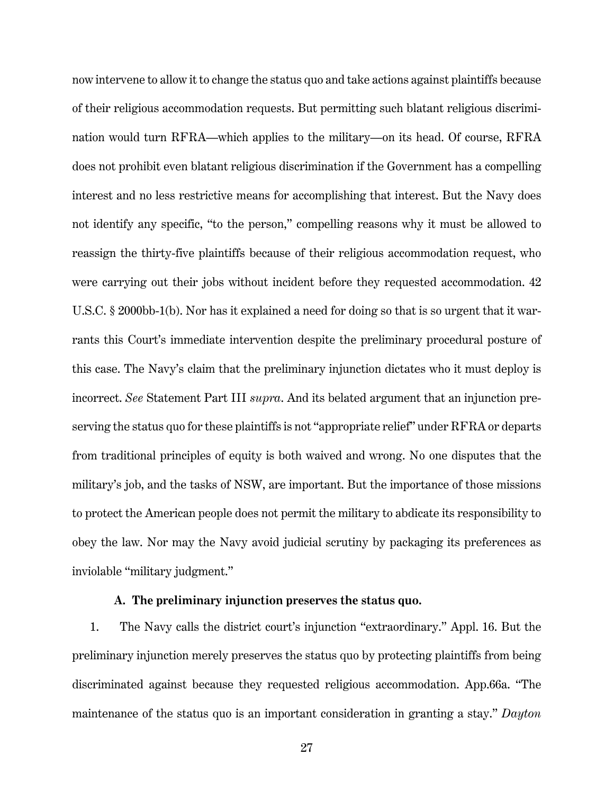now intervene to allow it to change the status quo and take actions against plaintiffs because of their religious accommodation requests. But permitting such blatant religious discrimination would turn RFRA—which applies to the military—on its head. Of course, RFRA does not prohibit even blatant religious discrimination if the Government has a compelling interest and no less restrictive means for accomplishing that interest. But the Navy does not identify any specific, "to the person," compelling reasons why it must be allowed to reassign the thirty-five plaintiffs because of their religious accommodation request, who were carrying out their jobs without incident before they requested accommodation. 42 U.S.C. § 2000bb-1(b). Nor has it explained a need for doing so that is so urgent that it warrants this Court's immediate intervention despite the preliminary procedural posture of this case. The Navy's claim that the preliminary injunction dictates who it must deploy is incorrect. *See* Statement Part III *supra*. And its belated argument that an injunction preserving the status quo for these plaintiffs is not "appropriate relief" under RFRA or departs from traditional principles of equity is both waived and wrong. No one disputes that the military's job, and the tasks of NSW, are important. But the importance of those missions to protect the American people does not permit the military to abdicate its responsibility to obey the law. Nor may the Navy avoid judicial scrutiny by packaging its preferences as inviolable "military judgment."

# **A. The preliminary injunction preserves the status quo.**

1. The Navy calls the district court's injunction "extraordinary." Appl. 16. But the preliminary injunction merely preserves the status quo by protecting plaintiffs from being discriminated against because they requested religious accommodation. App.66a. "The maintenance of the status quo is an important consideration in granting a stay." *Dayton*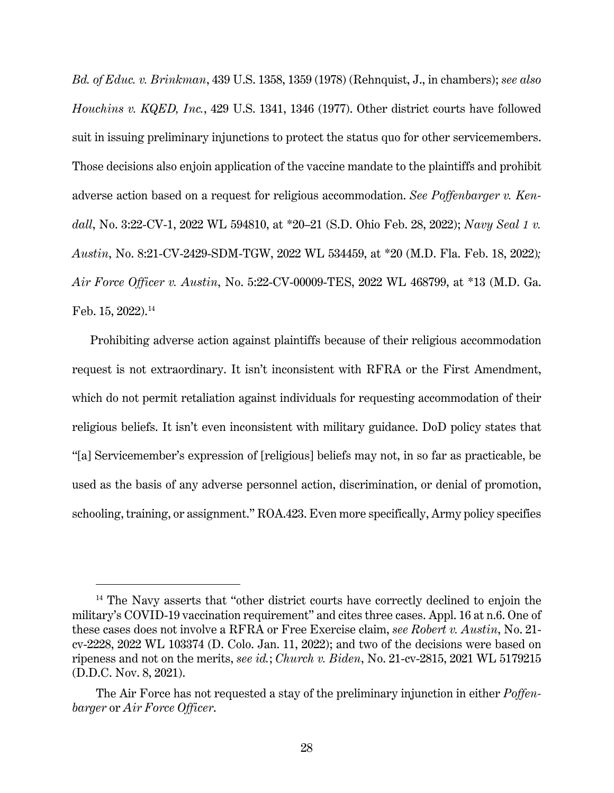*Bd. of Educ. v. Brinkman*, 439 U.S. 1358, 1359 (1978) (Rehnquist, J., in chambers); *see also Houchins v. KQED, Inc.*, 429 U.S. 1341, 1346 (1977). Other district courts have followed suit in issuing preliminary injunctions to protect the status quo for other servicemembers. Those decisions also enjoin application of the vaccine mandate to the plaintiffs and prohibit adverse action based on a request for religious accommodation. *See Poffenbarger v. Kendall*, No. 3:22-CV-1, 2022 WL 594810, at \*20–21 (S.D. Ohio Feb. 28, 2022); *Navy Seal 1 v. Austin*, No. 8:21-CV-2429-SDM-TGW, 2022 WL 534459, at \*20 (M.D. Fla. Feb. 18, 2022)*; Air Force Officer v. Austin*, No. 5:22-CV-00009-TES, 2022 WL 468799, at \*13 (M.D. Ga. Feb. 15, 2022). [14](#page-33-0)

Prohibiting adverse action against plaintiffs because of their religious accommodation request is not extraordinary. It isn't inconsistent with RFRA or the First Amendment, which do not permit retaliation against individuals for requesting accommodation of their religious beliefs. It isn't even inconsistent with military guidance. DoD policy states that "[a] Servicemember's expression of [religious] beliefs may not, in so far as practicable, be used as the basis of any adverse personnel action, discrimination, or denial of promotion, schooling, training, or assignment." ROA.423. Even more specifically, Army policy specifies

<span id="page-33-0"></span> $14$  The Navy asserts that "other district courts have correctly declined to enjoin the military's COVID-19 vaccination requirement" and cites three cases. Appl. 16 at n.6. One of these cases does not involve a RFRA or Free Exercise claim, *see Robert v. Austin*, No. 21 cv-2228, 2022 WL 103374 (D. Colo. Jan. 11, 2022); and two of the decisions were based on ripeness and not on the merits, *see id.*; *Church v. Biden*, No. 21-cv-2815, 2021 WL 5179215 (D.D.C. Nov. 8, 2021).

The Air Force has not requested a stay of the preliminary injunction in either *Poffenbarger* or *Air Force Officer*.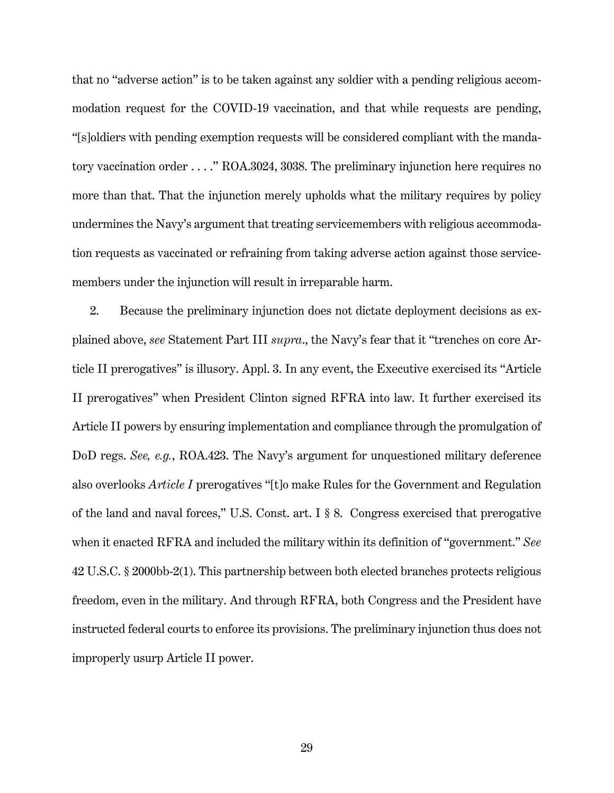that no "adverse action" is to be taken against any soldier with a pending religious accommodation request for the COVID-19 vaccination, and that while requests are pending, "[s]oldiers with pending exemption requests will be considered compliant with the mandatory vaccination order . . . ." ROA.3024, 3038. The preliminary injunction here requires no more than that. That the injunction merely upholds what the military requires by policy undermines the Navy's argument that treating servicemembers with religious accommodation requests as vaccinated or refraining from taking adverse action against those servicemembers under the injunction will result in irreparable harm.

2. Because the preliminary injunction does not dictate deployment decisions as explained above, *see* Statement Part III *supra*., the Navy's fear that it "trenches on core Article II prerogatives" is illusory. Appl. 3. In any event, the Executive exercised its "Article II prerogatives" when President Clinton signed RFRA into law. It further exercised its Article II powers by ensuring implementation and compliance through the promulgation of DoD regs. *See, e.g.*, ROA.423. The Navy's argument for unquestioned military deference also overlooks *Article I* prerogatives "[t]o make Rules for the Government and Regulation of the land and naval forces," U.S. Const. art. I § 8. Congress exercised that prerogative when it enacted RFRA and included the military within its definition of "government." *See*  42 U.S.C. § 2000bb-2(1). This partnership between both elected branches protects religious freedom, even in the military. And through RFRA, both Congress and the President have instructed federal courts to enforce its provisions. The preliminary injunction thus does not improperly usurp Article II power.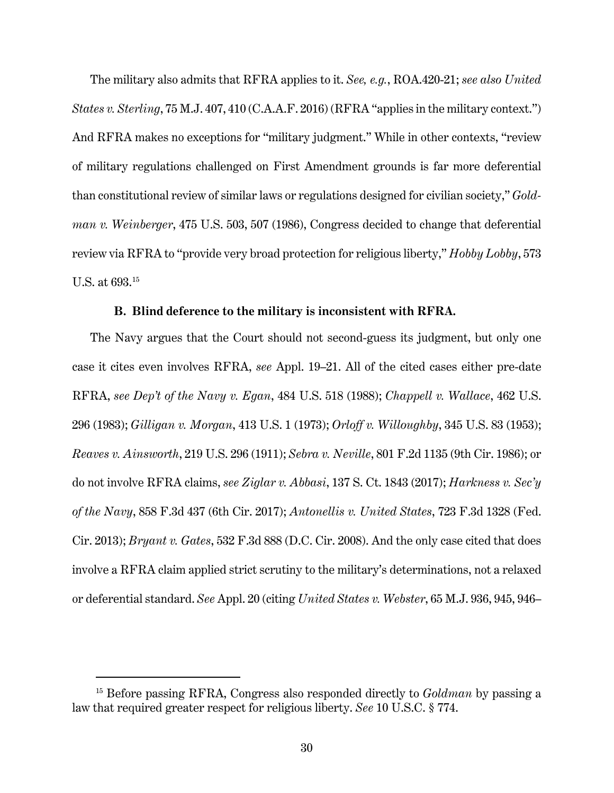The military also admits that RFRA applies to it. *See, e.g.*, ROA.420-21; *see also United States v. Sterling*, 75 M.J. 407, 410 (C.A.A.F. 2016) (RFRA "applies in the military context.") And RFRA makes no exceptions for "military judgment." While in other contexts, "review of military regulations challenged on First Amendment grounds is far more deferential than constitutional review of similar laws or regulations designed for civilian society," *Goldman v. Weinberger*, 475 U.S. 503, 507 (1986), Congress decided to change that deferential review via RFRA to "provide very broad protection for religious liberty," *Hobby Lobby*, 573 U.S. at 693. [15](#page-35-0)

## **B. Blind deference to the military is inconsistent with RFRA.**

The Navy argues that the Court should not second-guess its judgment, but only one case it cites even involves RFRA, *see* Appl. 19–21. All of the cited cases either pre-date RFRA, *see Dep't of the Navy v. Egan*, 484 U.S. 518 (1988); *Chappell v. Wallace*, 462 U.S. 296 (1983); *Gilligan v. Morgan*, 413 U.S. 1 (1973); *Orloff v. Willoughby*, 345 U.S. 83 (1953); *Reaves v. Ainsworth*, 219 U.S. 296 (1911); *Sebra v. Neville*, 801 F.2d 1135 (9th Cir. 1986); or do not involve RFRA claims, *see Ziglar v. Abbasi*, 137 S. Ct. 1843 (2017); *Harkness v. Sec'y of the Navy*, 858 F.3d 437 (6th Cir. 2017); *Antonellis v. United States*, 723 F.3d 1328 (Fed. Cir. 2013); *Bryant v. Gates*, 532 F.3d 888 (D.C. Cir. 2008). And the only case cited that does involve a RFRA claim applied strict scrutiny to the military's determinations, not a relaxed or deferential standard. *See* Appl. 20 (citing *United States v. Webster*, 65 M.J. 936, 945, 946–

<span id="page-35-0"></span><sup>15</sup> Before passing RFRA, Congress also responded directly to *Goldman* by passing a law that required greater respect for religious liberty. *See* 10 U.S.C. § 774.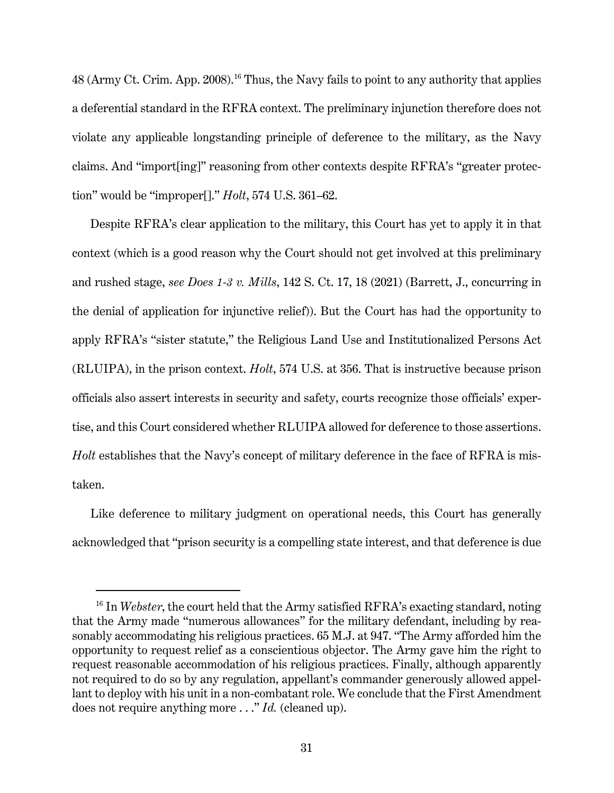48 (Army Ct. Crim. App. 2008).<sup>[16](#page-36-0)</sup> Thus, the Navy fails to point to any authority that applies a deferential standard in the RFRA context. The preliminary injunction therefore does not violate any applicable longstanding principle of deference to the military, as the Navy claims. And "import[ing]" reasoning from other contexts despite RFRA's "greater protection" would be "improper[]." *Holt*, 574 U.S. 361–62.

Despite RFRA's clear application to the military, this Court has yet to apply it in that context (which is a good reason why the Court should not get involved at this preliminary and rushed stage, *see Does 1-3 v. Mills*, 142 S. Ct. 17, 18 (2021) (Barrett, J., concurring in the denial of application for injunctive relief)). But the Court has had the opportunity to apply RFRA's "sister statute," the Religious Land Use and Institutionalized Persons Act (RLUIPA), in the prison context. *Holt*, 574 U.S. at 356. That is instructive because prison officials also assert interests in security and safety, courts recognize those officials' expertise, and this Court considered whether RLUIPA allowed for deference to those assertions. *Holt* establishes that the Navy's concept of military deference in the face of RFRA is mistaken.

Like deference to military judgment on operational needs, this Court has generally acknowledged that "prison security is a compelling state interest, and that deference is due

<span id="page-36-0"></span><sup>&</sup>lt;sup>16</sup> In *Webster*, the court held that the Army satisfied RFRA's exacting standard, noting that the Army made "numerous allowances" for the military defendant, including by reasonably accommodating his religious practices. 65 M.J. at 947. "The Army afforded him the opportunity to request relief as a conscientious objector. The Army gave him the right to request reasonable accommodation of his religious practices. Finally, although apparently not required to do so by any regulation, appellant's commander generously allowed appellant to deploy with his unit in a non-combatant role. We conclude that the First Amendment does not require anything more . . ." *Id.* (cleaned up).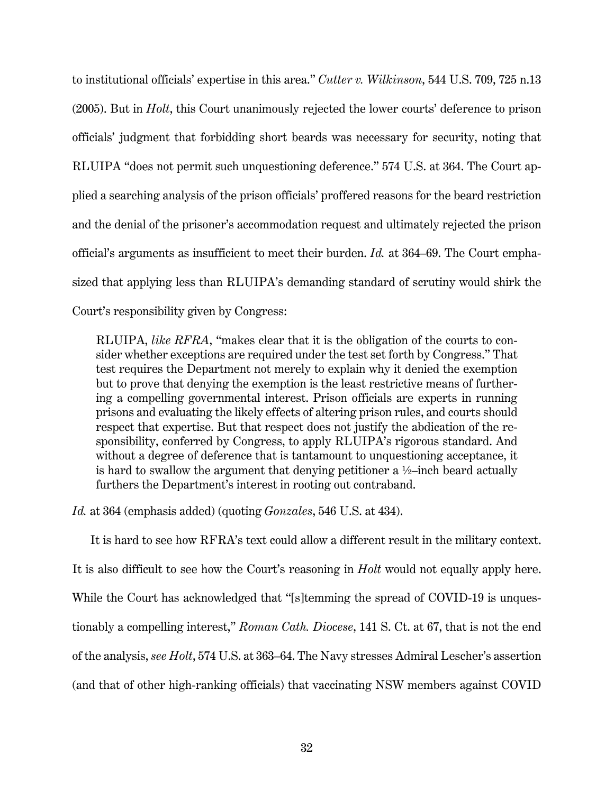to institutional officials' expertise in this area." *Cutter v. Wilkinson*, 544 U.S. 709, 725 n.13 (2005). But in *Holt*, this Court unanimously rejected the lower courts' deference to prison officials' judgment that forbidding short beards was necessary for security, noting that RLUIPA "does not permit such unquestioning deference." 574 U.S. at 364. The Court applied a searching analysis of the prison officials' proffered reasons for the beard restriction and the denial of the prisoner's accommodation request and ultimately rejected the prison official's arguments as insufficient to meet their burden. *Id.* at 364–69. The Court emphasized that applying less than RLUIPA's demanding standard of scrutiny would shirk the Court's responsibility given by Congress:

RLUIPA, *like RFRA*, "makes clear that it is the obligation of the courts to consider whether exceptions are required under the test set forth by Congress." That test requires the Department not merely to explain why it denied the exemption but to prove that denying the exemption is the least restrictive means of furthering a compelling governmental interest. Prison officials are experts in running prisons and evaluating the likely effects of altering prison rules, and courts should respect that expertise. But that respect does not justify the abdication of the responsibility, conferred by Congress, to apply RLUIPA's rigorous standard. And without a degree of deference that is tantamount to unquestioning acceptance, it is hard to swallow the argument that denying petitioner a  $\frac{1}{2}$ -inch beard actually furthers the Department's interest in rooting out contraband.

*Id.* at 364 (emphasis added) (quoting *Gonzales*, 546 U.S. at 434).

It is hard to see how RFRA's text could allow a different result in the military context. It is also difficult to see how the Court's reasoning in *Holt* would not equally apply here. While the Court has acknowledged that "[s]temming the spread of COVID-19 is unquestionably a compelling interest," *Roman Cath. Diocese*, 141 S. Ct. at 67, that is not the end of the analysis, *see Holt*, 574 U.S. at 363–64. The Navy stresses Admiral Lescher's assertion (and that of other high-ranking officials) that vaccinating NSW members against COVID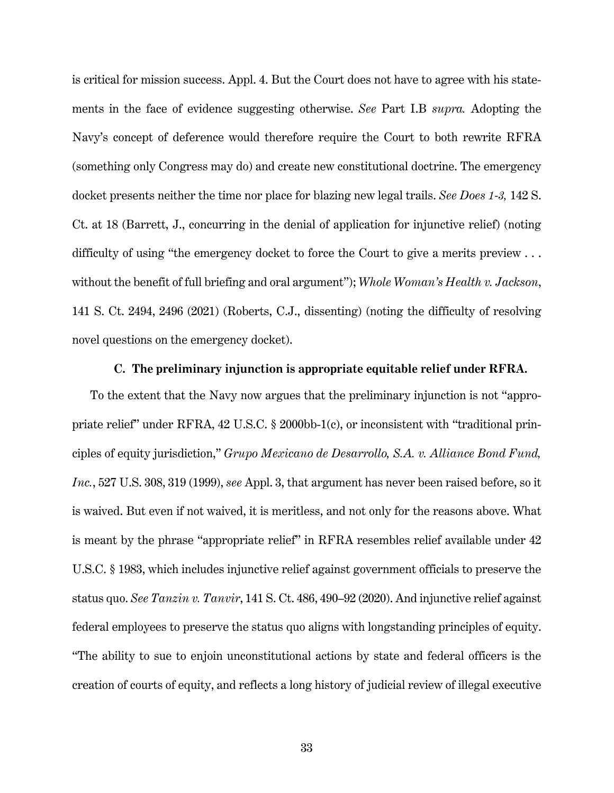is critical for mission success. Appl. 4. But the Court does not have to agree with his statements in the face of evidence suggesting otherwise. *See* Part I.B *supra.* Adopting the Navy's concept of deference would therefore require the Court to both rewrite RFRA (something only Congress may do) and create new constitutional doctrine. The emergency docket presents neither the time nor place for blazing new legal trails. *See Does 1-3,* 142 S. Ct. at 18 (Barrett, J., concurring in the denial of application for injunctive relief) (noting difficulty of using "the emergency docket to force the Court to give a merits preview ... without the benefit of full briefing and oral argument"); *Whole Woman's Health v. Jackson*, 141 S. Ct. 2494, 2496 (2021) (Roberts, C.J., dissenting) (noting the difficulty of resolving novel questions on the emergency docket).

## **C. The preliminary injunction is appropriate equitable relief under RFRA.**

To the extent that the Navy now argues that the preliminary injunction is not "appropriate relief" under RFRA, 42 U.S.C. § 2000bb-1(c), or inconsistent with "traditional principles of equity jurisdiction," *Grupo Mexicano de Desarrollo, S.A. v. Alliance Bond Fund, Inc.*, 527 U.S. 308, 319 (1999), *see* Appl. 3, that argument has never been raised before, so it is waived. But even if not waived, it is meritless, and not only for the reasons above. What is meant by the phrase "appropriate relief" in RFRA resembles relief available under 42 U.S.C. § 1983, which includes injunctive relief against government officials to preserve the status quo. *See Tanzin v. Tanvir*, 141 S. Ct. 486, 490–92 (2020). And injunctive relief against federal employees to preserve the status quo aligns with longstanding principles of equity. "The ability to sue to enjoin unconstitutional actions by state and federal officers is the creation of courts of equity, and reflects a long history of judicial review of illegal executive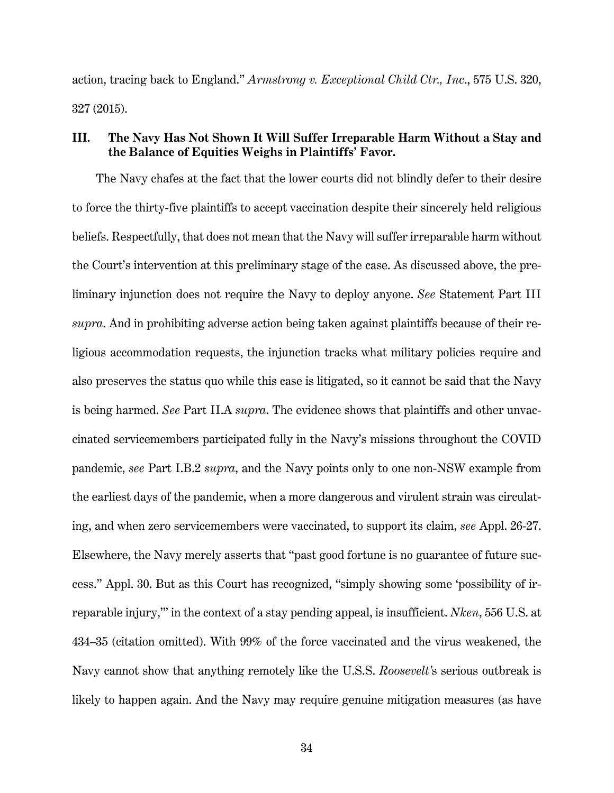action, tracing back to England." *Armstrong v. Exceptional Child Ctr., Inc*., 575 U.S. 320, 327 (2015).

# **III. The Navy Has Not Shown It Will Suffer Irreparable Harm Without a Stay and the Balance of Equities Weighs in Plaintiffs' Favor.**

The Navy chafes at the fact that the lower courts did not blindly defer to their desire to force the thirty-five plaintiffs to accept vaccination despite their sincerely held religious beliefs. Respectfully, that does not mean that the Navy will suffer irreparable harm without the Court's intervention at this preliminary stage of the case. As discussed above, the preliminary injunction does not require the Navy to deploy anyone. *See* Statement Part III *supra*. And in prohibiting adverse action being taken against plaintiffs because of their religious accommodation requests, the injunction tracks what military policies require and also preserves the status quo while this case is litigated, so it cannot be said that the Navy is being harmed. *See* Part II.A *supra*. The evidence shows that plaintiffs and other unvaccinated servicemembers participated fully in the Navy's missions throughout the COVID pandemic, *see* Part I.B.2 *supra*, and the Navy points only to one non-NSW example from the earliest days of the pandemic, when a more dangerous and virulent strain was circulating, and when zero servicemembers were vaccinated, to support its claim, *see* Appl. 26-27. Elsewhere, the Navy merely asserts that "past good fortune is no guarantee of future success." Appl. 30. But as this Court has recognized, "simply showing some 'possibility of irreparable injury,'" in the context of a stay pending appeal, is insufficient. *Nken*, 556 U.S. at 434–35 (citation omitted). With 99% of the force vaccinated and the virus weakened, the Navy cannot show that anything remotely like the U.S.S. *Roosevelt'*s serious outbreak is likely to happen again. And the Navy may require genuine mitigation measures (as have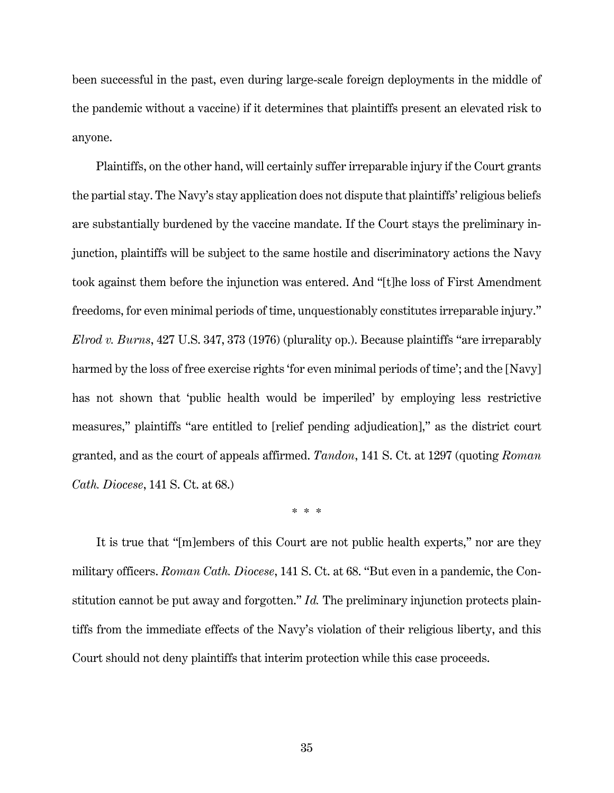been successful in the past, even during large-scale foreign deployments in the middle of the pandemic without a vaccine) if it determines that plaintiffs present an elevated risk to anyone.

Plaintiffs, on the other hand, will certainly suffer irreparable injury if the Court grants the partial stay. The Navy's stay application does not dispute that plaintiffs' religious beliefs are substantially burdened by the vaccine mandate. If the Court stays the preliminary injunction, plaintiffs will be subject to the same hostile and discriminatory actions the Navy took against them before the injunction was entered. And "[t]he loss of First Amendment freedoms, for even minimal periods of time, unquestionably constitutes irreparable injury." *Elrod v. Burns*, 427 U.S. 347, 373 (1976) (plurality op.). Because plaintiffs "are irreparably harmed by the loss of free exercise rights 'for even minimal periods of time'; and the [Navy] has not shown that 'public health would be imperiled' by employing less restrictive measures," plaintiffs "are entitled to [relief pending adjudication]," as the district court granted, and as the court of appeals affirmed. *Tandon*, 141 S. Ct. at 1297 (quoting *Roman Cath. Diocese*, 141 S. Ct. at 68.)

\* \* \*

It is true that "[m]embers of this Court are not public health experts," nor are they military officers. *Roman Cath. Diocese*, 141 S. Ct. at 68. "But even in a pandemic, the Constitution cannot be put away and forgotten." *Id.* The preliminary injunction protects plaintiffs from the immediate effects of the Navy's violation of their religious liberty, and this Court should not deny plaintiffs that interim protection while this case proceeds.